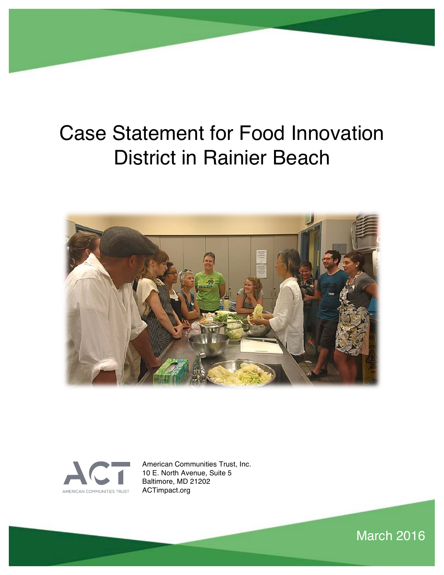# Case Statement for Food Innovation District in Rainier Beach





American Communities Trust, Inc. 10 E. North Avenue, Suite 5 Baltimore, MD 21202 ACTimpact.org

March 2016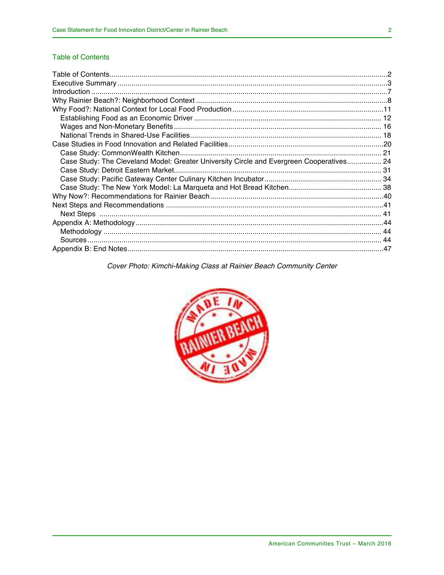### **Table of Contents**

| Case Study: The Cleveland Model: Greater University Circle and Evergreen Cooperatives 24 |  |
|------------------------------------------------------------------------------------------|--|
|                                                                                          |  |
|                                                                                          |  |
|                                                                                          |  |
|                                                                                          |  |
|                                                                                          |  |
|                                                                                          |  |
|                                                                                          |  |
|                                                                                          |  |
|                                                                                          |  |
|                                                                                          |  |

### Cover Photo: Kimchi-Making Class at Rainier Beach Community Center

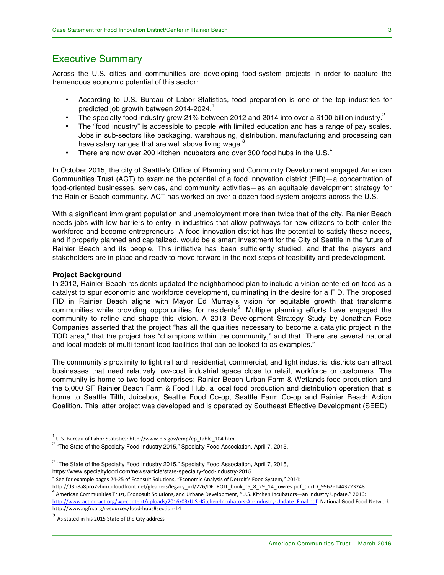### Executive Summary

Across the U.S. cities and communities are developing food-system projects in order to capture the tremendous economic potential of this sector:

- According to U.S. Bureau of Labor Statistics, food preparation is one of the top industries for predicted job growth between 2014-2024.<sup>1</sup>
- The specialty food industry grew 21% between 2012 and 2014 into over a \$100 billion industry.<sup>2</sup>
- The "food industry" is accessible to people with limited education and has a range of pay scales. Jobs in sub-sectors like packaging, warehousing, distribution, manufacturing and processing can have salary ranges that are well above living wage.<sup>3</sup>
- There are now over 200 kitchen incubators and over 300 food hubs in the U.S. $4$

In October 2015, the city of Seattle's Office of Planning and Community Development engaged American Communities Trust (ACT) to examine the potential of a food innovation district (FID)—a concentration of food-oriented businesses, services, and community activities—as an equitable development strategy for the Rainier Beach community. ACT has worked on over a dozen food system projects across the U.S.

With a significant immigrant population and unemployment more than twice that of the city, Rainier Beach needs jobs with low barriers to entry in industries that allow pathways for new citizens to both enter the workforce and become entrepreneurs. A food innovation district has the potential to satisfy these needs, and if properly planned and capitalized, would be a smart investment for the City of Seattle in the future of Rainier Beach and its people. This initiative has been sufficiently studied, and that the players and stakeholders are in place and ready to move forward in the next steps of feasibility and predevelopment.

#### **Project Background**

In 2012, Rainier Beach residents updated the neighborhood plan to include a vision centered on food as a catalyst to spur economic and workforce development, culminating in the desire for a FID. The proposed FID in Rainier Beach aligns with Mayor Ed Murray's vision for equitable growth that transforms communities while providing opportunities for residents<sup>5</sup>. Multiple planning efforts have engaged the community to refine and shape this vision. A 2013 Development Strategy Study by Jonathan Rose Companies asserted that the project "has all the qualities necessary to become a catalytic project in the TOD area," that the project has "champions within the community," and that "There are several national and local models of multi-tenant food facilities that can be looked to as examples."

The community's proximity to light rail and residential, commercial, and light industrial districts can attract businesses that need relatively low-cost industrial space close to retail, workforce or customers. The community is home to two food enterprises: Rainier Beach Urban Farm & Wetlands food production and the 5,000 SF Rainier Beach Farm & Food Hub, a local food production and distribution operation that is home to Seattle Tilth, Juicebox, Seattle Food Co-op, Seattle Farm Co-op and Rainier Beach Action Coalition. This latter project was developed and is operated by Southeast Effective Development (SEED).

http://d3n8a8pro7vhmx.cloudfront.net/gleaners/legacy\_url/226/DETROIT\_book\_r6\_8\_29\_14\_lowres.pdf\_docID\_9962?1443223248  $^4$  American Communities Trust, Econosult Solutions, and Urbane Development, "U.S. Kitchen Incubators—an Industry Update," 2016:

 $1$  U.S. Bureau of Labor Statistics: http://www.bls.gov/emp/ep\_table\_104.htm

<sup>&</sup>lt;sup>2</sup> "The State of the Specialty Food Industry 2015," Specialty Food Association, April 7, 2015,

 $2$  "The State of the Specialty Food Industry 2015," Specialty Food Association, April 7, 2015, https://www.specialtyfood.com/news/article/state-specialty-food-industry-2015.

See for example pages 24-25 of Econsult Solutions, "Economic Analysis of Detroit's Food System," 2014:

http://www.actimpact.org/wp-content/uploads/2016/03/U.S.-Kitchen-Incubators-An-Industry-Update\_Final.pdf; National Good Food Network: http://www.ngfn.org/resources/food-hubs#section-14

<sup>5&</sup>lt;br>As stated in his 2015 State of the City address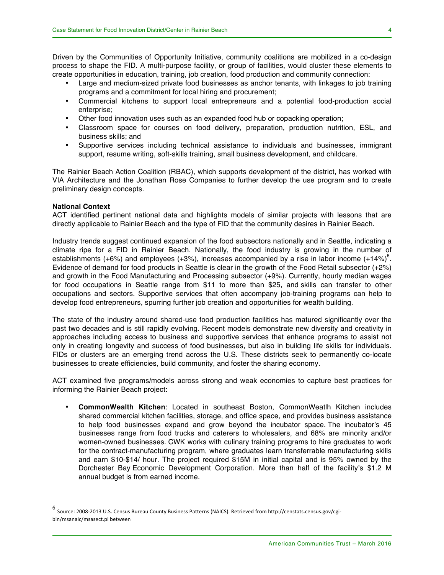Driven by the Communities of Opportunity Initiative, community coalitions are mobilized in a co-design process to shape the FID. A multi-purpose facility, or group of facilities, would cluster these elements to create opportunities in education, training, job creation, food production and community connection:

- Large and medium-sized private food businesses as anchor tenants, with linkages to job training programs and a commitment for local hiring and procurement;
- Commercial kitchens to support local entrepreneurs and a potential food-production social enterprise;
- Other food innovation uses such as an expanded food hub or copacking operation;
- Classroom space for courses on food delivery, preparation, production nutrition, ESL, and business skills; and
- Supportive services including technical assistance to individuals and businesses, immigrant support, resume writing, soft-skills training, small business development, and childcare.

The Rainier Beach Action Coalition (RBAC), which supports development of the district, has worked with VIA Architecture and the Jonathan Rose Companies to further develop the use program and to create preliminary design concepts.

#### **National Context**

ACT identified pertinent national data and highlights models of similar projects with lessons that are directly applicable to Rainier Beach and the type of FID that the community desires in Rainier Beach.

Industry trends suggest continued expansion of the food subsectors nationally and in Seattle, indicating a climate ripe for a FID in Rainier Beach. Nationally, the food industry is growing in the number of establishments (+6%) and employees (+3%), increases accompanied by a rise in labor income (+14%)<sup>6</sup>. Evidence of demand for food products in Seattle is clear in the growth of the Food Retail subsector (+2%) and growth in the Food Manufacturing and Processing subsector (+9%). Currently, hourly median wages for food occupations in Seattle range from \$11 to more than \$25, and skills can transfer to other occupations and sectors. Supportive services that often accompany job-training programs can help to develop food entrepreneurs, spurring further job creation and opportunities for wealth building.

The state of the industry around shared-use food production facilities has matured significantly over the past two decades and is still rapidly evolving. Recent models demonstrate new diversity and creativity in approaches including access to business and supportive services that enhance programs to assist not only in creating longevity and success of food businesses, but also in building life skills for individuals. FIDs or clusters are an emerging trend across the U.S. These districts seek to permanently co-locate businesses to create efficiencies, build community, and foster the sharing economy.

ACT examined five programs/models across strong and weak economies to capture best practices for informing the Rainier Beach project:

• **CommonWealth Kitchen**: Located in southeast Boston, CommonWeatlh Kitchen includes shared commercial kitchen facilities, storage, and office space, and provides business assistance to help food businesses expand and grow beyond the incubator space. The incubator's 45 businesses range from food trucks and caterers to wholesalers, and 68% are minority and/or women-owned businesses. CWK works with culinary training programs to hire graduates to work for the contract-manufacturing program, where graduates learn transferrable manufacturing skills and earn \$10-\$14/ hour. The project required \$15M in initial capital and is 95% owned by the Dorchester Bay Economic Development Corporation. More than half of the facility's \$1.2 M annual budget is from earned income.

6 Source: 2008-2013 U.S. Census Bureau County Business Patterns (NAICS). Retrieved from http://censtats.census.gov/cgibin/msanaic/msasect.pl between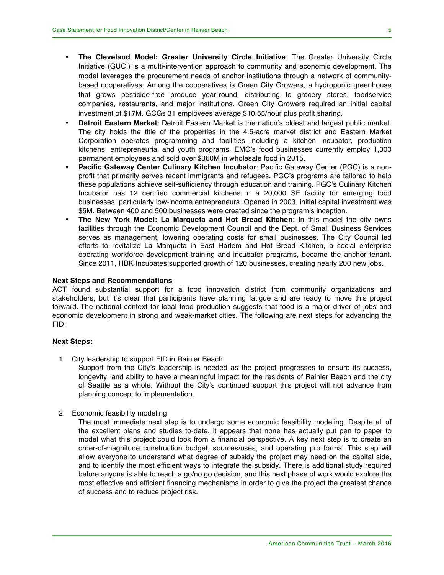- **The Cleveland Model: Greater University Circle Initiative**: The Greater University Circle Initiative (GUCI) is a multi-intervention approach to community and economic development. The model leverages the procurement needs of anchor institutions through a network of communitybased cooperatives. Among the cooperatives is Green City Growers, a hydroponic greenhouse that grows pesticide-free produce year-round, distributing to grocery stores, foodservice companies, restaurants, and major institutions. Green City Growers required an initial capital investment of \$17M. GCGs 31 employees average \$10.55/hour plus profit sharing.
- **Detroit Eastern Market**: Detroit Eastern Market is the nation's oldest and largest public market. The city holds the title of the properties in the 4.5-acre market district and Eastern Market Corporation operates programming and facilities including a kitchen incubator, production kitchens, entrepreneurial and youth programs. EMC's food businesses currently employ 1,300 permanent employees and sold over \$360M in wholesale food in 2015.
- **Pacific Gateway Center Culinary Kitchen Incubator**: Pacific Gateway Center (PGC) is a nonprofit that primarily serves recent immigrants and refugees. PGC's programs are tailored to help these populations achieve self-sufficiency through education and training. PGC's Culinary Kitchen Incubator has 12 certified commercial kitchens in a 20,000 SF facility for emerging food businesses, particularly low-income entrepreneurs. Opened in 2003, initial capital investment was \$5M. Between 400 and 500 businesses were created since the program's inception.
- **The New York Model: La Marqueta and Hot Bread Kitchen**: In this model the city owns facilities through the Economic Development Council and the Dept. of Small Business Services serves as management, lowering operating costs for small businesses. The City Council led efforts to revitalize La Marqueta in East Harlem and Hot Bread Kitchen, a social enterprise operating workforce development training and incubator programs, became the anchor tenant. Since 2011, HBK Incubates supported growth of 120 businesses, creating nearly 200 new jobs.

#### **Next Steps and Recommendations**

ACT found substantial support for a food innovation district from community organizations and stakeholders, but it's clear that participants have planning fatigue and are ready to move this project forward. The national context for local food production suggests that food is a major driver of jobs and economic development in strong and weak-market cities. The following are next steps for advancing the FID:

#### **Next Steps:**

1. City leadership to support FID in Rainier Beach

Support from the City's leadership is needed as the project progresses to ensure its success, longevity, and ability to have a meaningful impact for the residents of Rainier Beach and the city of Seattle as a whole. Without the City's continued support this project will not advance from planning concept to implementation.

2. Economic feasibility modeling

The most immediate next step is to undergo some economic feasibility modeling. Despite all of the excellent plans and studies to-date, it appears that none has actually put pen to paper to model what this project could look from a financial perspective. A key next step is to create an order-of-magnitude construction budget, sources/uses, and operating pro forma. This step will allow everyone to understand what degree of subsidy the project may need on the capital side, and to identify the most efficient ways to integrate the subsidy. There is additional study required before anyone is able to reach a go/no go decision, and this next phase of work would explore the most effective and efficient financing mechanisms in order to give the project the greatest chance of success and to reduce project risk.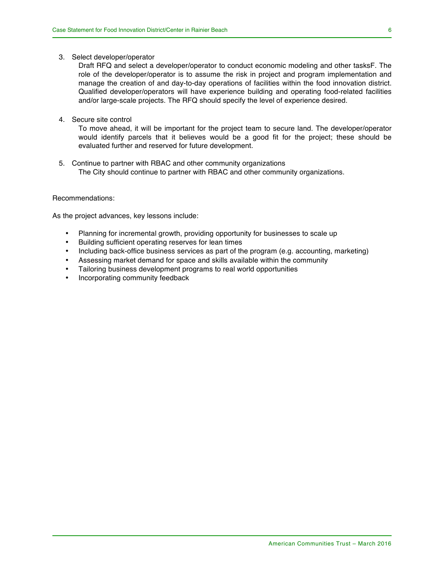3. Select developer/operator

Draft RFQ and select a developer/operator to conduct economic modeling and other tasksF. The role of the developer/operator is to assume the risk in project and program implementation and manage the creation of and day-to-day operations of facilities within the food innovation district. Qualified developer/operators will have experience building and operating food-related facilities and/or large-scale projects. The RFQ should specify the level of experience desired.

4. Secure site control

To move ahead, it will be important for the project team to secure land. The developer/operator would identify parcels that it believes would be a good fit for the project; these should be evaluated further and reserved for future development.

5. Continue to partner with RBAC and other community organizations The City should continue to partner with RBAC and other community organizations.

#### Recommendations:

As the project advances, key lessons include:

- Planning for incremental growth, providing opportunity for businesses to scale up
- Building sufficient operating reserves for lean times
- Including back-office business services as part of the program (e.g. accounting, marketing)
- Assessing market demand for space and skills available within the community
- Tailoring business development programs to real world opportunities
- Incorporating community feedback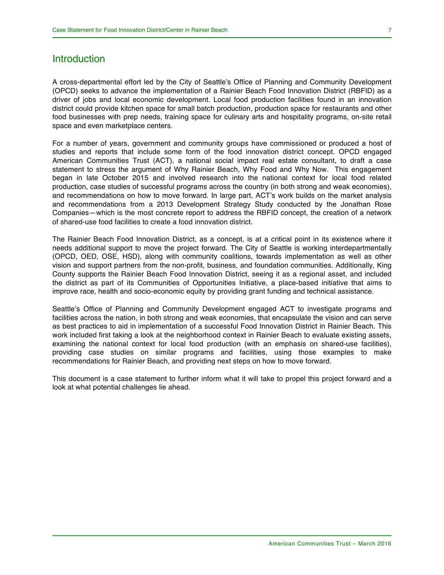### **Introduction**

A cross-departmental effort led by the City of Seattle's Office of Planning and Community Development (OPCD) seeks to advance the implementation of a Rainier Beach Food Innovation District (RBFID) as a driver of jobs and local economic development. Local food production facilities found in an innovation district could provide kitchen space for small batch production, production space for restaurants and other food businesses with prep needs, training space for culinary arts and hospitality programs, on-site retail space and even marketplace centers.

For a number of years, government and community groups have commissioned or produced a host of studies and reports that include some form of the food innovation district concept. OPCD engaged American Communities Trust (ACT), a national social impact real estate consultant, to draft a case statement to stress the argument of Why Rainier Beach, Why Food and Why Now. This engagement began in late October 2015 and involved research into the national context for local food related production, case studies of successful programs across the country (in both strong and weak economies), and recommendations on how to move forward. In large part, ACT's work builds on the market analysis and recommendations from a 2013 Development Strategy Study conducted by the Jonathan Rose Companies—which is the most concrete report to address the RBFID concept, the creation of a network of shared-use food facilities to create a food innovation district.

The Rainier Beach Food Innovation District, as a concept, is at a critical point in its existence where it needs additional support to move the project forward. The City of Seattle is working interdepartmentally (OPCD, OED, OSE, HSD), along with community coalitions, towards implementation as well as other vision and support partners from the non-profit, business, and foundation communities. Additionally, King County supports the Rainier Beach Food Innovation District, seeing it as a regional asset, and included the district as part of its Communities of Opportunities Initiative, a place-based initiative that aims to improve race, health and socio-economic equity by providing grant funding and technical assistance.

Seattle's Office of Planning and Community Development engaged ACT to investigate programs and facilities across the nation, in both strong and weak economies, that encapsulate the vision and can serve as best practices to aid in implementation of a successful Food Innovation District in Rainier Beach. This work included first taking a look at the neighborhood context in Rainier Beach to evaluate existing assets, examining the national context for local food production (with an emphasis on shared-use facilities), providing case studies on similar programs and facilities, using those examples to make recommendations for Rainier Beach, and providing next steps on how to move forward.

This document is a case statement to further inform what it will take to propel this project forward and a look at what potential challenges lie ahead.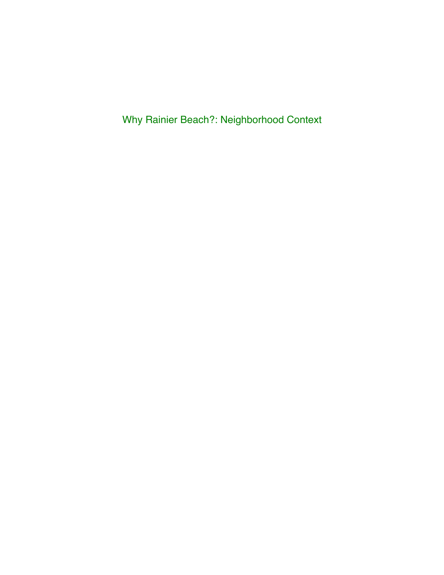Why Rainier Beach?: Neighborhood Context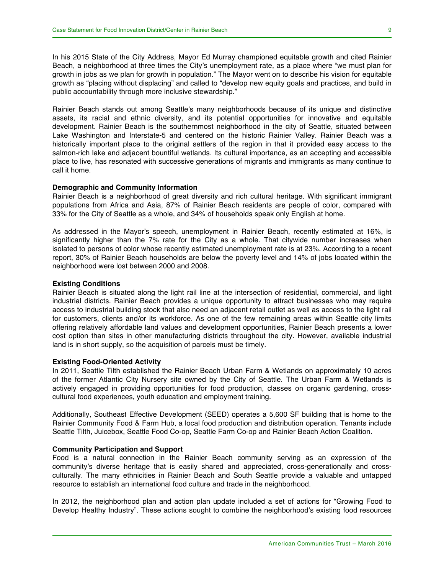In his 2015 State of the City Address, Mayor Ed Murray championed equitable growth and cited Rainier Beach, a neighborhood at three times the City's unemployment rate, as a place where "we must plan for growth in jobs as we plan for growth in population." The Mayor went on to describe his vision for equitable growth as "placing without displacing" and called to "develop new equity goals and practices, and build in public accountability through more inclusive stewardship."

Rainier Beach stands out among Seattle's many neighborhoods because of its unique and distinctive assets, its racial and ethnic diversity, and its potential opportunities for innovative and equitable development. Rainier Beach is the southernmost neighborhood in the city of Seattle, situated between Lake Washington and Interstate-5 and centered on the historic Rainier Valley. Rainier Beach was a historically important place to the original settlers of the region in that it provided easy access to the salmon-rich lake and adjacent bountiful wetlands. Its cultural importance, as an accepting and accessible place to live, has resonated with successive generations of migrants and immigrants as many continue to call it home.

#### **Demographic and Community Information**

Rainier Beach is a neighborhood of great diversity and rich cultural heritage. With significant immigrant populations from Africa and Asia, 87% of Rainier Beach residents are people of color, compared with 33% for the City of Seattle as a whole, and 34% of households speak only English at home.

As addressed in the Mayor's speech, unemployment in Rainier Beach, recently estimated at 16%, is significantly higher than the 7% rate for the City as a whole. That citywide number increases when isolated to persons of color whose recently estimated unemployment rate is at 23%. According to a recent report, 30% of Rainier Beach households are below the poverty level and 14% of jobs located within the neighborhood were lost between 2000 and 2008.

#### **Existing Conditions**

Rainier Beach is situated along the light rail line at the intersection of residential, commercial, and light industrial districts. Rainier Beach provides a unique opportunity to attract businesses who may require access to industrial building stock that also need an adjacent retail outlet as well as access to the light rail for customers, clients and/or its workforce. As one of the few remaining areas within Seattle city limits offering relatively affordable land values and development opportunities, Rainier Beach presents a lower cost option than sites in other manufacturing districts throughout the city. However, available industrial land is in short supply, so the acquisition of parcels must be timely.

#### **Existing Food-Oriented Activity**

In 2011, Seattle Tilth established the Rainier Beach Urban Farm & Wetlands on approximately 10 acres of the former Atlantic City Nursery site owned by the City of Seattle. The Urban Farm & Wetlands is actively engaged in providing opportunities for food production, classes on organic gardening, crosscultural food experiences, youth education and employment training.

Additionally, Southeast Effective Development (SEED) operates a 5,600 SF building that is home to the Rainier Community Food & Farm Hub, a local food production and distribution operation. Tenants include Seattle Tilth, Juicebox, Seattle Food Co-op, Seattle Farm Co-op and Rainier Beach Action Coalition.

#### **Community Participation and Support**

Food is a natural connection in the Rainier Beach community serving as an expression of the community's diverse heritage that is easily shared and appreciated, cross-generationally and crossculturally. The many ethnicities in Rainier Beach and South Seattle provide a valuable and untapped resource to establish an international food culture and trade in the neighborhood.

In 2012, the neighborhood plan and action plan update included a set of actions for "Growing Food to Develop Healthy Industry". These actions sought to combine the neighborhood's existing food resources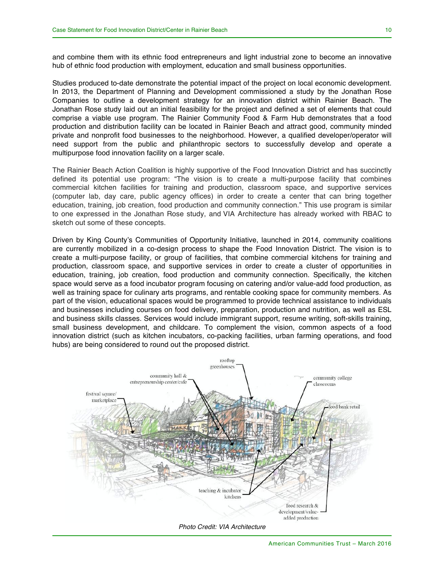and combine them with its ethnic food entrepreneurs and light industrial zone to become an innovative hub of ethnic food production with employment, education and small business opportunities.

Studies produced to-date demonstrate the potential impact of the project on local economic development. In 2013, the Department of Planning and Development commissioned a study by the Jonathan Rose Companies to outline a development strategy for an innovation district within Rainier Beach. The Jonathan Rose study laid out an initial feasibility for the project and defined a set of elements that could comprise a viable use program. The Rainier Community Food & Farm Hub demonstrates that a food production and distribution facility can be located in Rainier Beach and attract good, community minded private and nonprofit food businesses to the neighborhood. However, a qualified developer/operator will need support from the public and philanthropic sectors to successfully develop and operate a multipurpose food innovation facility on a larger scale.

The Rainier Beach Action Coalition is highly supportive of the Food Innovation District and has succinctly defined its potential use program: "The vision is to create a multi-purpose facility that combines commercial kitchen facilities for training and production, classroom space, and supportive services (computer lab, day care, public agency offices) in order to create a center that can bring together education, training, job creation, food production and community connection." This use program is similar to one expressed in the Jonathan Rose study, and VIA Architecture has already worked with RBAC to sketch out some of these concepts.

Driven by King County's Communities of Opportunity Initiative, launched in 2014, community coalitions are currently mobilized in a co-design process to shape the Food Innovation District. The vision is to create a multi-purpose facility, or group of facilities, that combine commercial kitchens for training and production, classroom space, and supportive services in order to create a cluster of opportunities in education, training, job creation, food production and community connection. Specifically, the kitchen space would serve as a food incubator program focusing on catering and/or value-add food production, as well as training space for culinary arts programs, and rentable cooking space for community members. As part of the vision, educational spaces would be programmed to provide technical assistance to individuals and businesses including courses on food delivery, preparation, production and nutrition, as well as ESL and business skills classes. Services would include immigrant support, resume writing, soft-skills training, small business development, and childcare. To complement the vision, common aspects of a food innovation district (such as kitchen incubators, co-packing facilities, urban farming operations, and food hubs) are being considered to round out the proposed district.

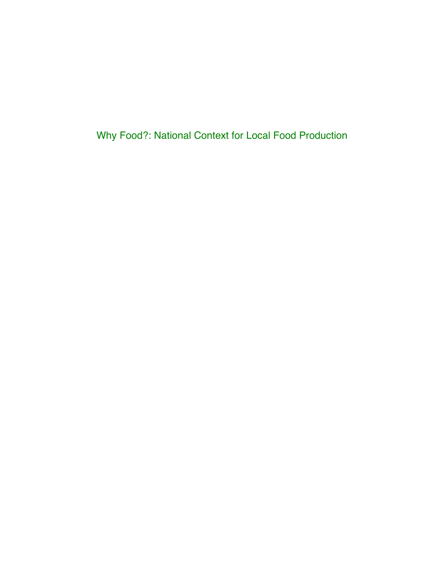Why Food?: National Context for Local Food Production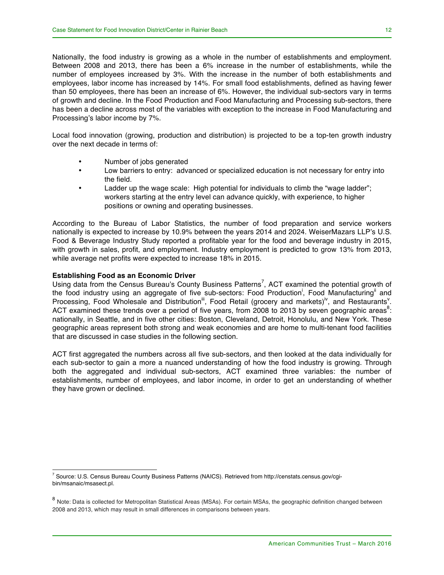Nationally, the food industry is growing as a whole in the number of establishments and employment. Between 2008 and 2013, there has been a 6% increase in the number of establishments, while the number of employees increased by 3%. With the increase in the number of both establishments and employees, labor income has increased by 14%. For small food establishments, defined as having fewer than 50 employees, there has been an increase of 6%. However, the individual sub-sectors vary in terms of growth and decline. In the Food Production and Food Manufacturing and Processing sub-sectors, there has been a decline across most of the variables with exception to the increase in Food Manufacturing and Processing's labor income by 7%.

Local food innovation (growing, production and distribution) is projected to be a top-ten growth industry over the next decade in terms of:

- Number of jobs generated
- Low barriers to entry: advanced or specialized education is not necessary for entry into the field.
- Ladder up the wage scale: High potential for individuals to climb the "wage ladder"; workers starting at the entry level can advance quickly, with experience, to higher positions or owning and operating businesses.

According to the Bureau of Labor Statistics, the number of food preparation and service workers nationally is expected to increase by 10.9% between the years 2014 and 2024. WeiserMazars LLP's U.S. Food & Beverage Industry Study reported a profitable year for the food and beverage industry in 2015, with growth in sales, profit, and employment. Industry employment is predicted to grow 13% from 2013, while average net profits were expected to increase 18% in 2015.

#### **Establishing Food as an Economic Driver**

Using data from the Census Bureau's County Business Patterns<sup>7</sup>, ACT examined the potential growth of the food industry using an aggregate of five sub-sectors: Food Production<sup>i</sup>, Food Manufacturing<sup>ii</sup> and Processing, Food Wholesale and Distribution<sup>ii</sup>, Food Retail (grocery and markets)<sup>iv</sup>, and Restaurants<sup>v</sup>. ACT examined these trends over a period of five years, from 2008 to 2013 by seven geographic areas<sup>8</sup>: nationally, in Seattle, and in five other cities: Boston, Cleveland, Detroit, Honolulu, and New York. These geographic areas represent both strong and weak economies and are home to multi-tenant food facilities that are discussed in case studies in the following section.

ACT first aggregated the numbers across all five sub-sectors, and then looked at the data individually for each sub-sector to gain a more a nuanced understanding of how the food industry is growing. Through both the aggregated and individual sub-sectors, ACT examined three variables: the number of establishments, number of employees, and labor income, in order to get an understanding of whether they have grown or declined.

 <sup>7</sup> Source: U.S. Census Bureau County Business Patterns (NAICS). Retrieved from http://censtats.census.gov/cgibin/msanaic/msasect.pl.

<sup>8</sup> Note: Data is collected for Metropolitan Statistical Areas (MSAs). For certain MSAs, the geographic definition changed between 2008 and 2013, which may result in small differences in comparisons between years.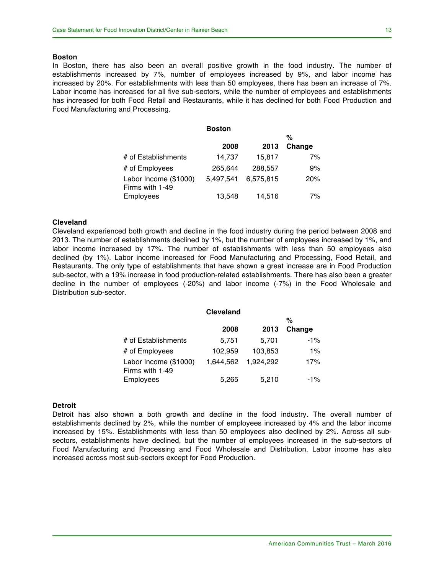#### **Boston**

In Boston, there has also been an overall positive growth in the food industry. The number of establishments increased by 7%, number of employees increased by 9%, and labor income has increased by 20%. For establishments with less than 50 employees, there has been an increase of 7%. Labor income has increased for all five sub-sectors, while the number of employees and establishments has increased for both Food Retail and Restaurants, while it has declined for both Food Production and Food Manufacturing and Processing.

|                                          | <b>Boston</b> |           |        |
|------------------------------------------|---------------|-----------|--------|
|                                          |               |           | %      |
|                                          | 2008          | 2013      | Change |
| # of Establishments                      | 14.737        | 15.817    | 7%     |
| # of Employees                           | 265,644       | 288,557   | 9%     |
| Labor Income (\$1000)<br>Firms with 1-49 | 5,497,541     | 6,575,815 | 20%    |
| Employees                                | 13,548        | 14,516    | 7%     |

#### **Cleveland**

Cleveland experienced both growth and decline in the food industry during the period between 2008 and 2013. The number of establishments declined by 1%, but the number of employees increased by 1%, and labor income increased by 17%. The number of establishments with less than 50 employees also declined (by 1%). Labor income increased for Food Manufacturing and Processing, Food Retail, and Restaurants. The only type of establishments that have shown a great increase are in Food Production sub-sector, with a 19% increase in food production-related establishments. There has also been a greater decline in the number of employees (-20%) and labor income (-7%) in the Food Wholesale and Distribution sub-sector.

|                                          | <b>Cleveland</b> |           |        |
|------------------------------------------|------------------|-----------|--------|
|                                          |                  |           | %      |
|                                          | 2008             | 2013      | Change |
| # of Establishments                      | 5,751            | 5,701     | $-1%$  |
| # of Employees                           | 102,959          | 103,853   | $1\%$  |
| Labor Income (\$1000)<br>Firms with 1-49 | 1,644,562        | 1.924.292 | 17%    |
| Employees                                | 5,265            | 5,210     | $-1\%$ |

#### **Detroit**

Detroit has also shown a both growth and decline in the food industry. The overall number of establishments declined by 2%, while the number of employees increased by 4% and the labor income increased by 15%. Establishments with less than 50 employees also declined by 2%. Across all subsectors, establishments have declined, but the number of employees increased in the sub-sectors of Food Manufacturing and Processing and Food Wholesale and Distribution. Labor income has also increased across most sub-sectors except for Food Production.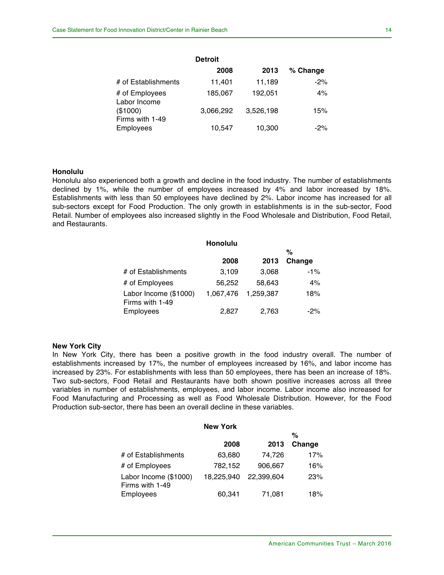|                                | <b>Detroit</b> |           |          |
|--------------------------------|----------------|-----------|----------|
|                                | 2008           | 2013      | % Change |
| # of Establishments            | 11,401         | 11,189    | $-2%$    |
| # of Employees<br>Labor Income | 185,067        | 192,051   | 4%       |
| (\$1000)                       | 3.066.292      | 3,526,198 | 15%      |
| Firms with 1-49                |                |           |          |
| Employees                      | 10.547         | 10,300    | $-2\%$   |

#### **Honolulu**

Honolulu also experienced both a growth and decline in the food industry. The number of establishments declined by 1%, while the number of employees increased by 4% and labor increased by 18%. Establishments with less than 50 employees have declined by 2%. Labor income has increased for all sub-sectors except for Food Production. The only growth in establishments is in the sub-sector, Food Retail. Number of employees also increased slightly in the Food Wholesale and Distribution, Food Retail, and Restaurants.

|                                          | <b>Honolulu</b> |           |        |
|------------------------------------------|-----------------|-----------|--------|
|                                          |                 |           | %      |
|                                          | 2008            | 2013      | Change |
| # of Establishments                      | 3,109           | 3,068     | $-1%$  |
| # of Employees                           | 56,252          | 58.643    | 4%     |
| Labor Income (\$1000)<br>Firms with 1-49 | 1,067,476       | 1.259.387 | 18%    |
| Employees                                | 2.827           | 2,763     | $-2\%$ |

#### **New York City**

In New York City, there has been a positive growth in the food industry overall. The number of establishments increased by 17%, the number of employees increased by 16%, and labor income has increased by 23%. For establishments with less than 50 employees, there has been an increase of 18%. Two sub-sectors, Food Retail and Restaurants have both shown positive increases across all three variables in number of establishments, employees, and labor income. Labor income also increased for Food Manufacturing and Processing as well as Food Wholesale Distribution. However, for the Food Production sub-sector, there has been an overall decline in these variables.

|                                          | <b>New York</b> |            |        |
|------------------------------------------|-----------------|------------|--------|
|                                          |                 |            | %      |
|                                          | 2008            | 2013       | Change |
| # of Establishments                      | 63,680          | 74.726     | 17%    |
| # of Employees                           | 782,152         | 906,667    | 16%    |
| Labor Income (\$1000)<br>Firms with 1-49 | 18.225.940      | 22,399,604 | 23%    |
| Employees                                | 60,341          | 71,081     | 18%    |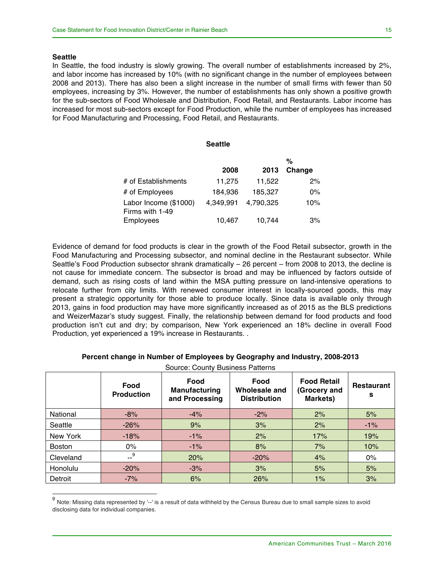#### **Seattle**

In Seattle, the food industry is slowly growing. The overall number of establishments increased by 2%, and labor income has increased by 10% (with no significant change in the number of employees between 2008 and 2013). There has also been a slight increase in the number of small firms with fewer than 50 employees, increasing by 3%. However, the number of establishments has only shown a positive growth for the sub-sectors of Food Wholesale and Distribution, Food Retail, and Restaurants. Labor income has increased for most sub-sectors except for Food Production, while the number of employees has increased for Food Manufacturing and Processing, Food Retail, and Restaurants.

|                                          | <b>Seattle</b> |           |        |
|------------------------------------------|----------------|-----------|--------|
|                                          |                |           | %      |
|                                          | 2008           | 2013      | Change |
| # of Establishments                      | 11,275         | 11,522    | 2%     |
| # of Employees                           | 184,936        | 185,327   | $0\%$  |
| Labor Income (\$1000)<br>Firms with 1-49 | 4,349,991      | 4,790,325 | 10%    |
| Employees                                | 10,467         | 10.744    | 3%     |

Evidence of demand for food products is clear in the growth of the Food Retail subsector, growth in the Food Manufacturing and Processing subsector, and nominal decline in the Restaurant subsector. While Seattle's Food Production subsector shrank dramatically – 26 percent – from 2008 to 2013, the decline is not cause for immediate concern. The subsector is broad and may be influenced by factors outside of demand, such as rising costs of land within the MSA putting pressure on land-intensive operations to relocate further from city limits. With renewed consumer interest in locally-sourced goods, this may present a strategic opportunity for those able to produce locally. Since data is available only through 2013, gains in food production may have more significantly increased as of 2015 as the BLS predictions and WeizerMazar's study suggest. Finally, the relationship between demand for food products and food production isn't cut and dry; by comparison, New York experienced an 18% decline in overall Food Production, yet experienced a 19% increase in Restaurants. .

| Percent change in Number of Employees by Geography and Industry, 2008-2013 |  |  |  |
|----------------------------------------------------------------------------|--|--|--|
|                                                                            |  |  |  |

|               | Food<br><b>Production</b> | Food<br>Manufacturing<br>and Processing | Food<br>Wholesale and<br><b>Distribution</b> | <b>Food Retail</b><br>(Grocery and<br>Markets) | <b>Restaurant</b><br>s |
|---------------|---------------------------|-----------------------------------------|----------------------------------------------|------------------------------------------------|------------------------|
| National      | $-8%$                     | $-4%$                                   | $-2%$                                        | 2%                                             | 5%                     |
| Seattle       | $-26%$                    | 9%                                      | 3%                                           | 2%                                             | $-1%$                  |
| New York      | $-18%$                    | $-1\%$                                  | 2%                                           | 17%                                            | 19%                    |
| <b>Boston</b> | $0\%$                     | $-1\%$                                  | 8%                                           | 7%                                             | 10%                    |
| Cleveland     | $-$ <sup>9</sup>          | 20%                                     | $-20%$                                       | 4%                                             | $0\%$                  |
| Honolulu      | $-20%$                    | $-3%$                                   | 3%                                           | 5%                                             | 5%                     |
| Detroit       | $-7%$                     | 6%                                      | 26%                                          | 1%                                             | 3%                     |

Source: County Business Patterns

Note: Missing data represented by '--' is a result of data withheld by the Census Bureau due to small sample sizes to avoid disclosing data for individual companies.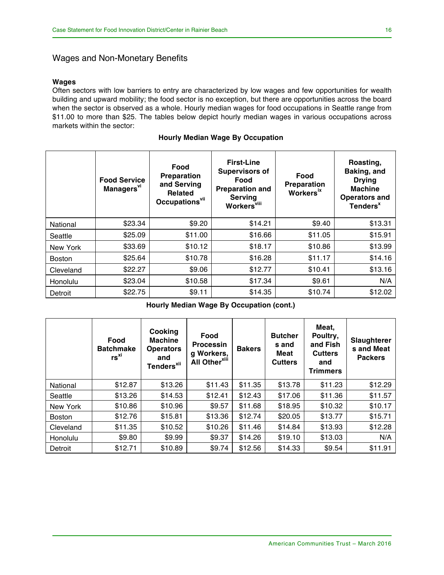### Wages and Non-Monetary Benefits

### **Wages**

Often sectors with low barriers to entry are characterized by low wages and few opportunities for wealth building and upward mobility; the food sector is no exception, but there are opportunities across the board when the sector is observed as a whole. Hourly median wages for food occupations in Seattle range from \$11.00 to more than \$25. The tables below depict hourly median wages in various occupations across markets within the sector:

|               | <b>Food Service</b><br>Managers <sup>vi</sup> | Food<br><b>Preparation</b><br>and Serving<br><b>Related</b><br>Occupations <sup>vii</sup> | <b>First-Line</b><br><b>Supervisors of</b><br>Food<br><b>Preparation and</b><br><b>Serving</b><br><b>Workers</b> <sup>viii</sup> | Food<br><b>Preparation</b><br><b>Workers</b> <sup>ix</sup> | Roasting,<br>Baking, and<br><b>Drying</b><br><b>Machine</b><br><b>Operators and</b><br>Tenders <sup>x</sup> |
|---------------|-----------------------------------------------|-------------------------------------------------------------------------------------------|----------------------------------------------------------------------------------------------------------------------------------|------------------------------------------------------------|-------------------------------------------------------------------------------------------------------------|
| National      | \$23.34                                       | \$9.20                                                                                    | \$14.21                                                                                                                          | \$9.40                                                     | \$13.31                                                                                                     |
| Seattle       | \$25.09                                       | \$11.00                                                                                   | \$16.66                                                                                                                          | \$11.05                                                    | \$15.91                                                                                                     |
| New York      | \$33.69                                       | \$10.12                                                                                   | \$18.17                                                                                                                          | \$10.86                                                    | \$13.99                                                                                                     |
| <b>Boston</b> | \$25.64                                       | \$10.78                                                                                   | \$16.28                                                                                                                          | \$11.17                                                    | \$14.16                                                                                                     |
| Cleveland     | \$22.27                                       | \$9.06                                                                                    | \$12.77                                                                                                                          | \$10.41                                                    | \$13.16                                                                                                     |
| Honolulu      | \$23.04                                       | \$10.58                                                                                   | \$17.34                                                                                                                          | \$9.61                                                     | N/A                                                                                                         |
| Detroit       | \$22.75                                       | \$9.11                                                                                    | \$14.35                                                                                                                          | \$10.74                                                    | \$12.02                                                                                                     |

|  |  |  |  | <b>Hourly Median Wage By Occupation</b> |
|--|--|--|--|-----------------------------------------|
|--|--|--|--|-----------------------------------------|

**Hourly Median Wage By Occupation (cont.)**

|               | Food<br><b>Batchmake</b><br>$rs^{xi}$ | Cooking<br><b>Machine</b><br><b>Operators</b><br>and<br>Tenders <sup>xii</sup> | Food<br><b>Processin</b><br>g Workers,<br>All Other <sup>xiii</sup> | <b>Bakers</b> | <b>Butcher</b><br>s and<br>Meat<br><b>Cutters</b> | Meat,<br>Poultry,<br>and Fish<br><b>Cutters</b><br>and<br><b>Trimmers</b> | <b>Slaughterer</b><br>s and Meat<br><b>Packers</b> |
|---------------|---------------------------------------|--------------------------------------------------------------------------------|---------------------------------------------------------------------|---------------|---------------------------------------------------|---------------------------------------------------------------------------|----------------------------------------------------|
| National      | \$12.87                               | \$13.26                                                                        | \$11.43                                                             | \$11.35       | \$13.78                                           | \$11.23                                                                   | \$12.29                                            |
| Seattle       | \$13.26                               | \$14.53                                                                        | \$12.41                                                             | \$12.43       | \$17.06                                           | \$11.36                                                                   | \$11.57                                            |
| New York      | \$10.86                               | \$10.96                                                                        | \$9.57                                                              | \$11.68       | \$18.95                                           | \$10.32                                                                   | \$10.17                                            |
| <b>Boston</b> | \$12.76                               | \$15.81                                                                        | \$13.36                                                             | \$12.74       | \$20.05                                           | \$13.77                                                                   | \$15.71                                            |
| Cleveland     | \$11.35                               | \$10.52                                                                        | \$10.26                                                             | \$11.46       | \$14.84                                           | \$13.93                                                                   | \$12.28                                            |
| Honolulu      | \$9.80                                | \$9.99                                                                         | \$9.37                                                              | \$14.26       | \$19.10                                           | \$13.03                                                                   | N/A                                                |
| Detroit       | \$12.71                               | \$10.89                                                                        | \$9.74                                                              | \$12.56       | \$14.33                                           | \$9.54                                                                    | \$11.91                                            |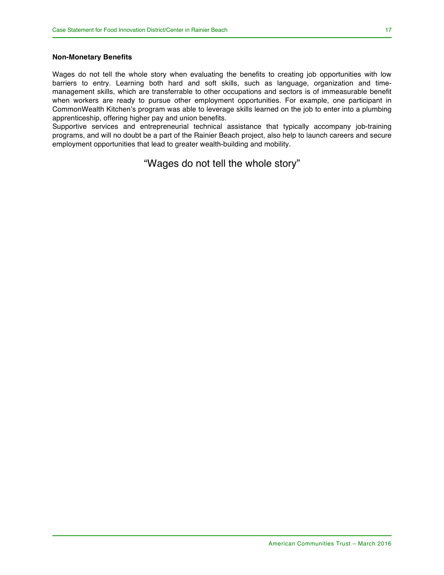#### **Non-Monetary Benefits**

Wages do not tell the whole story when evaluating the benefits to creating job opportunities with low barriers to entry. Learning both hard and soft skills, such as language, organization and timemanagement skills, which are transferrable to other occupations and sectors is of immeasurable benefit when workers are ready to pursue other employment opportunities. For example, one participant in CommonWealth Kitchen's program was able to leverage skills learned on the job to enter into a plumbing apprenticeship, offering higher pay and union benefits.

Supportive services and entrepreneurial technical assistance that typically accompany job-training programs, and will no doubt be a part of the Rainier Beach project, also help to launch careers and secure employment opportunities that lead to greater wealth-building and mobility.

### "Wages do not tell the whole story"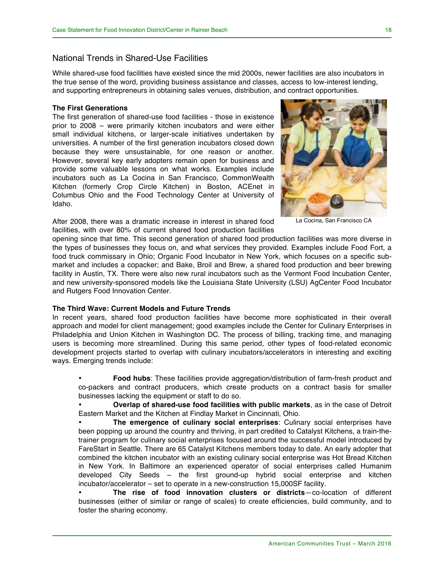### National Trends in Shared-Use Facilities

While shared-use food facilities have existed since the mid 2000s, newer facilities are also incubators in the true sense of the word, providing business assistance and classes, access to low-interest lending, and supporting entrepreneurs in obtaining sales venues, distribution, and contract opportunities.

#### **The First Generations**

The first generation of shared-use food facilities - those in existence prior to 2008 – were primarily kitchen incubators and were either small individual kitchens, or larger-scale initiatives undertaken by universities. A number of the first generation incubators closed down because they were unsustainable, for one reason or another. However, several key early adopters remain open for business and provide some valuable lessons on what works. Examples include incubators such as La Cocina in San Francisco, CommonWealth Kitchen (formerly Crop Circle Kitchen) in Boston, ACEnet in Columbus Ohio and the Food Technology Center at University of Idaho.

After 2008, there was a dramatic increase in interest in shared food facilities, with over 80% of current shared food production facilities



La Cocina, San Francisco CA

opening since that time. This second generation of shared food production facilities was more diverse in the types of businesses they focus on, and what services they provided. Examples include Food Fort, a food truck commissary in Ohio; Organic Food Incubator in New York, which focuses on a specific submarket and includes a copacker; and Bake, Broil and Brew, a shared food production and beer brewing facility in Austin, TX. There were also new rural incubators such as the Vermont Food Incubation Center, and new university-sponsored models like the Louisiana State University (LSU) AgCenter Food Incubator and Rutgers Food Innovation Center.

#### **The Third Wave: Current Models and Future Trends**

In recent years, shared food production facilities have become more sophisticated in their overall approach and model for client management; good examples include the Center for Culinary Enterprises in Philadelphia and Union Kitchen in Washington DC. The process of billing, tracking time, and managing users is becoming more streamlined. During this same period, other types of food-related economic development projects started to overlap with culinary incubators/accelerators in interesting and exciting ways. Emerging trends include:

• **Food hubs**: These facilities provide aggregation/distribution of farm-fresh product and co-packers and contract producers, which create products on a contract basis for smaller businesses lacking the equipment or staff to do so.

• **Overlap of shared-use food facilities with public markets**, as in the case of Detroit Eastern Market and the Kitchen at Findlay Market in Cincinnati, Ohio.

• **The emergence of culinary social enterprises**: Culinary social enterprises have been popping up around the country and thriving, in part credited to Catalyst Kitchens, a train-thetrainer program for culinary social enterprises focused around the successful model introduced by FareStart in Seattle. There are 65 Catalyst Kitchens members today to date. An early adopter that combined the kitchen incubator with an existing culinary social enterprise was Hot Bread Kitchen in New York. In Baltimore an experienced operator of social enterprises called Humanim developed City Seeds – the first ground-up hybrid social enterprise and kitchen incubator/accelerator – set to operate in a new-construction 15,000SF facility.

• **The rise of food innovation clusters or districts**—co-location of different businesses (either of similar or range of scales) to create efficiencies, build community, and to foster the sharing economy.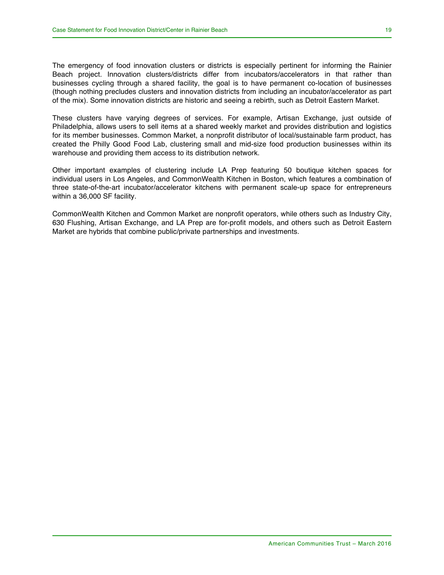The emergency of food innovation clusters or districts is especially pertinent for informing the Rainier Beach project. Innovation clusters/districts differ from incubators/accelerators in that rather than businesses cycling through a shared facility, the goal is to have permanent co-location of businesses (though nothing precludes clusters and innovation districts from including an incubator/accelerator as part of the mix). Some innovation districts are historic and seeing a rebirth, such as Detroit Eastern Market.

These clusters have varying degrees of services. For example, Artisan Exchange, just outside of Philadelphia, allows users to sell items at a shared weekly market and provides distribution and logistics for its member businesses. Common Market, a nonprofit distributor of local/sustainable farm product, has created the Philly Good Food Lab, clustering small and mid-size food production businesses within its warehouse and providing them access to its distribution network.

Other important examples of clustering include LA Prep featuring 50 boutique kitchen spaces for individual users in Los Angeles, and CommonWealth Kitchen in Boston, which features a combination of three state-of-the-art incubator/accelerator kitchens with permanent scale-up space for entrepreneurs within a 36,000 SF facility.

CommonWealth Kitchen and Common Market are nonprofit operators, while others such as Industry City, 630 Flushing, Artisan Exchange, and LA Prep are for-profit models, and others such as Detroit Eastern Market are hybrids that combine public/private partnerships and investments.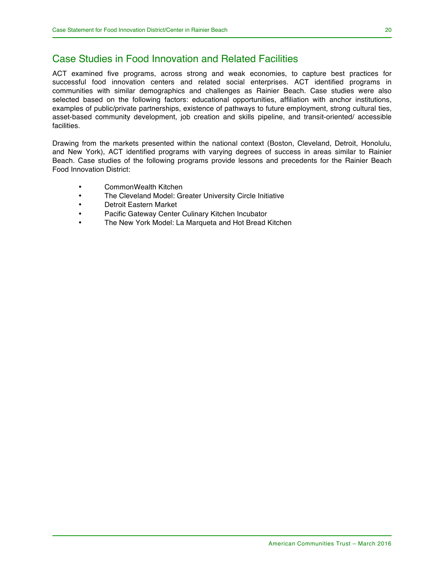### Case Studies in Food Innovation and Related Facilities

ACT examined five programs, across strong and weak economies, to capture best practices for successful food innovation centers and related social enterprises. ACT identified programs in communities with similar demographics and challenges as Rainier Beach. Case studies were also selected based on the following factors: educational opportunities, affiliation with anchor institutions, examples of public/private partnerships, existence of pathways to future employment, strong cultural ties, asset-based community development, job creation and skills pipeline, and transit-oriented/ accessible facilities.

Drawing from the markets presented within the national context (Boston, Cleveland, Detroit, Honolulu, and New York), ACT identified programs with varying degrees of success in areas similar to Rainier Beach. Case studies of the following programs provide lessons and precedents for the Rainier Beach Food Innovation District:

- CommonWealth Kitchen
- The Cleveland Model: Greater University Circle Initiative
- Detroit Eastern Market
- Pacific Gateway Center Culinary Kitchen Incubator
- The New York Model: La Marqueta and Hot Bread Kitchen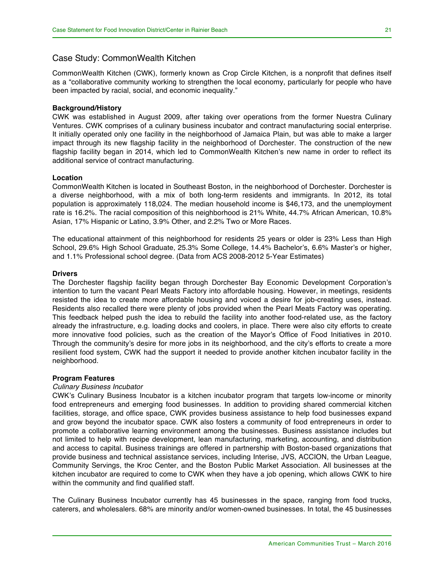### Case Study: CommonWealth Kitchen

CommonWealth Kitchen (CWK), formerly known as Crop Circle Kitchen, is a nonprofit that defines itself as a "collaborative community working to strengthen the local economy, particularly for people who have been impacted by racial, social, and economic inequality."

#### **Background/History**

CWK was established in August 2009, after taking over operations from the former Nuestra Culinary Ventures. CWK comprises of a culinary business incubator and contract manufacturing social enterprise. It initially operated only one facility in the neighborhood of Jamaica Plain, but was able to make a larger impact through its new flagship facility in the neighborhood of Dorchester. The construction of the new flagship facility began in 2014, which led to CommonWealth Kitchen's new name in order to reflect its additional service of contract manufacturing.

### **Location**

CommonWealth Kitchen is located in Southeast Boston, in the neighborhood of Dorchester. Dorchester is a diverse neighborhood, with a mix of both long-term residents and immigrants. In 2012, its total population is approximately 118,024. The median household income is \$46,173, and the unemployment rate is 16.2%. The racial composition of this neighborhood is 21% White, 44.7% African American, 10.8% Asian, 17% Hispanic or Latino, 3.9% Other, and 2.2% Two or More Races.

The educational attainment of this neighborhood for residents 25 years or older is 23% Less than High School, 29.6% High School Graduate, 25.3% Some College, 14.4% Bachelor's, 6.6% Master's or higher, and 1.1% Professional school degree. (Data from ACS 2008-2012 5-Year Estimates)

#### **Drivers**

The Dorchester flagship facility began through Dorchester Bay Economic Development Corporation's intention to turn the vacant Pearl Meats Factory into affordable housing. However, in meetings, residents resisted the idea to create more affordable housing and voiced a desire for job-creating uses, instead. Residents also recalled there were plenty of jobs provided when the Pearl Meats Factory was operating. This feedback helped push the idea to rebuild the facility into another food-related use, as the factory already the infrastructure, e.g. loading docks and coolers, in place. There were also city efforts to create more innovative food policies, such as the creation of the Mayor's Office of Food Initiatives in 2010. Through the community's desire for more jobs in its neighborhood, and the city's efforts to create a more resilient food system, CWK had the support it needed to provide another kitchen incubator facility in the neighborhood.

#### **Program Features**

### *Culinary Business Incubator*

CWK's Culinary Business Incubator is a kitchen incubator program that targets low-income or minority food entrepreneurs and emerging food businesses. In addition to providing shared commercial kitchen facilities, storage, and office space, CWK provides business assistance to help food businesses expand and grow beyond the incubator space. CWK also fosters a community of food entrepreneurs in order to promote a collaborative learning environment among the businesses. Business assistance includes but not limited to help with recipe development, lean manufacturing, marketing, accounting, and distribution and access to capital. Business trainings are offered in partnership with Boston-based organizations that provide business and technical assistance services, including Interise, JVS, ACCION, the Urban League, Community Servings, the Kroc Center, and the Boston Public Market Association. All businesses at the kitchen incubator are required to come to CWK when they have a job opening, which allows CWK to hire within the community and find qualified staff.

The Culinary Business Incubator currently has 45 businesses in the space, ranging from food trucks, caterers, and wholesalers. 68% are minority and/or women-owned businesses. In total, the 45 businesses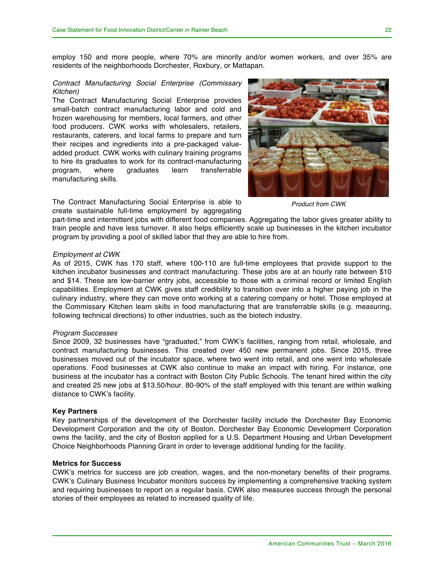employ 150 and more people, where 70% are minority and/or women workers, and over 35% are residents of the neighborhoods Dorchester, Roxbury, or Mattapan.

#### *Contract Manufacturing Social Enterprise (Commissary Kitchen)*

The Contract Manufacturing Social Enterprise provides small-batch contract manufacturing labor and cold and frozen warehousing for members, local farmers, and other food producers. CWK works with wholesalers, retailers, restaurants, caterers, and local farms to prepare and turn their recipes and ingredients into a pre-packaged valueadded product. CWK works with culinary training programs to hire its graduates to work for its contract-manufacturing program, where graduates learn transferrable manufacturing skills.

The Contract Manufacturing Social Enterprise is able to create sustainable full-time employment by aggregating



*Product from CWK*

part-time and intermittent jobs with different food companies. Aggregating the labor gives greater ability to train people and have less turnover. It also helps efficiently scale up businesses in the kitchen incubator program by providing a pool of skilled labor that they are able to hire from.

#### *Employment at CWK*

As of 2015, CWK has 170 staff, where 100-110 are full-time employees that provide support to the kitchen incubator businesses and contract manufacturing. These jobs are at an hourly rate between \$10 and \$14. These are low-barrier entry jobs, accessible to those with a criminal record or limited English capabilities. Employment at CWK gives staff credibility to transition over into a higher paying job in the culinary industry, where they can move onto working at a catering company or hotel. Those employed at the Commissary Kitchen learn skills in food manufacturing that are transferrable skills (e.g. measuring, following technical directions) to other industries, such as the biotech industry.

#### *Program Successes*

Since 2009, 32 businesses have "graduated," from CWK's facilities, ranging from retail, wholesale, and contract manufacturing businesses. This created over 450 new permanent jobs. Since 2015, three businesses moved out of the incubator space, where two went into retail, and one went into wholesale operations. Food businesses at CWK also continue to make an impact with hiring. For instance, one business at the incubator has a contract with Boston City Public Schools. The tenant hired within the city and created 25 new jobs at \$13.50/hour. 80-90% of the staff employed with this tenant are within walking distance to CWK's facility.

#### **Key Partners**

Key partnerships of the development of the Dorchester facility include the Dorchester Bay Economic Development Corporation and the city of Boston. Dorchester Bay Economic Development Corporation owns the facility, and the city of Boston applied for a U.S. Department Housing and Urban Development Choice Neighborhoods Planning Grant in order to leverage additional funding for the facility.

#### **Metrics for Success**

CWK's metrics for success are job creation, wages, and the non-monetary benefits of their programs. CWK's Culinary Business Incubator monitors success by implementing a comprehensive tracking system and requiring businesses to report on a regular basis. CWK also measures success through the personal stories of their employees as related to increased quality of life.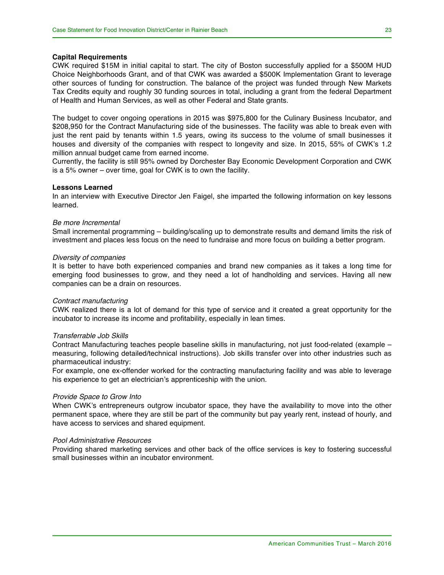#### **Capital Requirements**

CWK required \$15M in initial capital to start. The city of Boston successfully applied for a \$500M HUD Choice Neighborhoods Grant, and of that CWK was awarded a \$500K Implementation Grant to leverage other sources of funding for construction. The balance of the project was funded through New Markets Tax Credits equity and roughly 30 funding sources in total, including a grant from the federal Department of Health and Human Services, as well as other Federal and State grants.

The budget to cover ongoing operations in 2015 was \$975,800 for the Culinary Business Incubator, and \$208,950 for the Contract Manufacturing side of the businesses. The facility was able to break even with just the rent paid by tenants within 1.5 years, owing its success to the volume of small businesses it houses and diversity of the companies with respect to longevity and size. In 2015, 55% of CWK's 1.2 million annual budget came from earned income.

Currently, the facility is still 95% owned by Dorchester Bay Economic Development Corporation and CWK is a 5% owner – over time, goal for CWK is to own the facility.

#### **Lessons Learned**

In an interview with Executive Director Jen Faigel, she imparted the following information on key lessons learned.

#### *Be more Incremental*

Small incremental programming – building/scaling up to demonstrate results and demand limits the risk of investment and places less focus on the need to fundraise and more focus on building a better program.

#### *Diversity of companies*

It is better to have both experienced companies and brand new companies as it takes a long time for emerging food businesses to grow, and they need a lot of handholding and services. Having all new companies can be a drain on resources.

#### *Contract manufacturing*

CWK realized there is a lot of demand for this type of service and it created a great opportunity for the incubator to increase its income and profitability, especially in lean times.

#### *Transferrable Job Skills*

Contract Manufacturing teaches people baseline skills in manufacturing, not just food-related (example – measuring, following detailed/technical instructions). Job skills transfer over into other industries such as pharmaceutical industry:

For example, one ex-offender worked for the contracting manufacturing facility and was able to leverage his experience to get an electrician's apprenticeship with the union.

#### *Provide Space to Grow Into*

When CWK's entrepreneurs outgrow incubator space, they have the availability to move into the other permanent space, where they are still be part of the community but pay yearly rent, instead of hourly, and have access to services and shared equipment.

#### *Pool Administrative Resources*

Providing shared marketing services and other back of the office services is key to fostering successful small businesses within an incubator environment.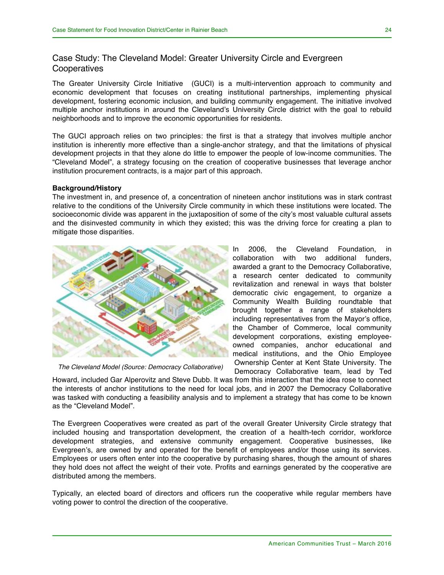### Case Study: The Cleveland Model: Greater University Circle and Evergreen **Cooperatives**

The Greater University Circle Initiative (GUCI) is a multi-intervention approach to community and economic development that focuses on creating institutional partnerships, implementing physical development, fostering economic inclusion, and building community engagement. The initiative involved multiple anchor institutions in around the Cleveland's University Circle district with the goal to rebuild neighborhoods and to improve the economic opportunities for residents.

The GUCI approach relies on two principles: the first is that a strategy that involves multiple anchor institution is inherently more effective than a single-anchor strategy, and that the limitations of physical development projects in that they alone do little to empower the people of low-income communities. The "Cleveland Model", a strategy focusing on the creation of cooperative businesses that leverage anchor institution procurement contracts, is a major part of this approach.

#### **Background/History**

The investment in, and presence of, a concentration of nineteen anchor institutions was in stark contrast relative to the conditions of the University Circle community in which these institutions were located. The socioeconomic divide was apparent in the juxtaposition of some of the city's most valuable cultural assets and the disinvested community in which they existed; this was the driving force for creating a plan to mitigate those disparities.



*The Cleveland Model (Source: Democracy Collaborative)*

In 2006, the Cleveland Foundation, in collaboration with two additional funders, awarded a grant to the Democracy Collaborative, a research center dedicated to community revitalization and renewal in ways that bolster democratic civic engagement, to organize a Community Wealth Building roundtable that brought together a range of stakeholders including representatives from the Mayor's office, the Chamber of Commerce, local community development corporations, existing employeeowned companies, anchor educational and medical institutions, and the Ohio Employee Ownership Center at Kent State University. The Democracy Collaborative team, lead by Ted

Howard, included Gar Alperovitz and Steve Dubb. It was from this interaction that the idea rose to connect the interests of anchor institutions to the need for local jobs, and in 2007 the Democracy Collaborative was tasked with conducting a feasibility analysis and to implement a strategy that has come to be known as the "Cleveland Model".

The Evergreen Cooperatives were created as part of the overall Greater University Circle strategy that included housing and transportation development, the creation of a health-tech corridor, workforce development strategies, and extensive community engagement. Cooperative businesses, like Evergreen's, are owned by and operated for the benefit of employees and/or those using its services. Employees or users often enter into the cooperative by purchasing shares, though the amount of shares they hold does not affect the weight of their vote. Profits and earnings generated by the cooperative are distributed among the members.

Typically, an elected board of directors and officers run the cooperative while regular members have voting power to control the direction of the cooperative.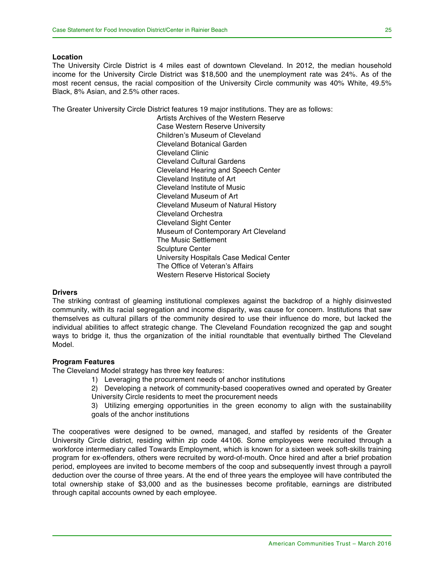#### **Location**

The University Circle District is 4 miles east of downtown Cleveland. In 2012, the median household income for the University Circle District was \$18,500 and the unemployment rate was 24%. As of the most recent census, the racial composition of the University Circle community was 40% White, 49.5% Black, 8% Asian, and 2.5% other races.

The Greater University Circle District features 19 major institutions. They are as follows:

Artists Archives of the Western Reserve Case Western Reserve University Children's Museum of Cleveland Cleveland Botanical Garden Cleveland Clinic Cleveland Cultural Gardens Cleveland Hearing and Speech Center Cleveland Institute of Art Cleveland Institute of Music Cleveland Museum of Art Cleveland Museum of Natural History Cleveland Orchestra Cleveland Sight Center Museum of Contemporary Art Cleveland The Music Settlement Sculpture Center University Hospitals Case Medical Center The Office of Veteran's Affairs Western Reserve Historical Society

#### **Drivers**

The striking contrast of gleaming institutional complexes against the backdrop of a highly disinvested community, with its racial segregation and income disparity, was cause for concern. Institutions that saw themselves as cultural pillars of the community desired to use their influence do more, but lacked the individual abilities to affect strategic change. The Cleveland Foundation recognized the gap and sought ways to bridge it, thus the organization of the initial roundtable that eventually birthed The Cleveland Model.

#### **Program Features**

The Cleveland Model strategy has three key features:

- 1) Leveraging the procurement needs of anchor institutions
- 2) Developing a network of community-based cooperatives owned and operated by Greater University Circle residents to meet the procurement needs

3) Utilizing emerging opportunities in the green economy to align with the sustainability goals of the anchor institutions

The cooperatives were designed to be owned, managed, and staffed by residents of the Greater University Circle district, residing within zip code 44106. Some employees were recruited through a workforce intermediary called Towards Employment, which is known for a sixteen week soft-skills training program for ex-offenders, others were recruited by word-of-mouth. Once hired and after a brief probation period, employees are invited to become members of the coop and subsequently invest through a payroll deduction over the course of three years. At the end of three years the employee will have contributed the total ownership stake of \$3,000 and as the businesses become profitable, earnings are distributed through capital accounts owned by each employee.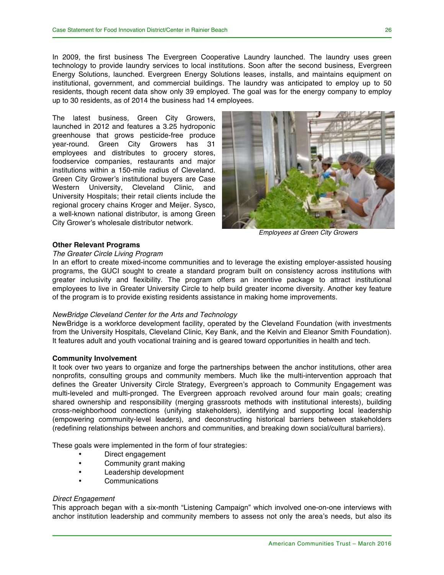In 2009, the first business The Evergreen Cooperative Laundry launched. The laundry uses green technology to provide laundry services to local institutions. Soon after the second business, Evergreen Energy Solutions, launched. Evergreen Energy Solutions leases, installs, and maintains equipment on institutional, government, and commercial buildings. The laundry was anticipated to employ up to 50 residents, though recent data show only 39 employed. The goal was for the energy company to employ up to 30 residents, as of 2014 the business had 14 employees.

The latest business, Green City Growers, launched in 2012 and features a 3.25 hydroponic greenhouse that grows pesticide-free produce year-round. Green City Growers has 31 employees and distributes to grocery stores, foodservice companies, restaurants and major institutions within a 150-mile radius of Cleveland. Green City Grower's institutional buyers are Case Western University, Cleveland Clinic, and University Hospitals; their retail clients include the regional grocery chains Kroger and Meijer. Sysco, a well-known national distributor, is among Green City Grower's wholesale distributor network.



*Employees at Green City Growers*

#### **Other Relevant Programs**

#### *The Greater Circle Living Program*

In an effort to create mixed-income communities and to leverage the existing employer-assisted housing programs, the GUCI sought to create a standard program built on consistency across institutions with greater inclusivity and flexibility. The program offers an incentive package to attract institutional employees to live in Greater University Circle to help build greater income diversity. Another key feature of the program is to provide existing residents assistance in making home improvements.

#### *NewBridge Cleveland Center for the Arts and Technology*

NewBridge is a workforce development facility, operated by the Cleveland Foundation (with investments from the University Hospitals, Cleveland Clinic, Key Bank, and the Kelvin and Eleanor Smith Foundation). It features adult and youth vocational training and is geared toward opportunities in health and tech.

#### **Community Involvement**

It took over two years to organize and forge the partnerships between the anchor institutions, other area nonprofits, consulting groups and community members. Much like the multi-intervention approach that defines the Greater University Circle Strategy, Evergreen's approach to Community Engagement was multi-leveled and multi-pronged. The Evergreen approach revolved around four main goals; creating shared ownership and responsibility (merging grassroots methods with institutional interests), building cross-neighborhood connections (unifying stakeholders), identifying and supporting local leadership (empowering community-level leaders), and deconstructing historical barriers between stakeholders (redefining relationships between anchors and communities, and breaking down social/cultural barriers).

These goals were implemented in the form of four strategies:

- Direct engagement
- Community grant making
- Leadership development
- Communications

#### *Direct Engagement*

This approach began with a six-month "Listening Campaign" which involved one-on-one interviews with anchor institution leadership and community members to assess not only the area's needs, but also its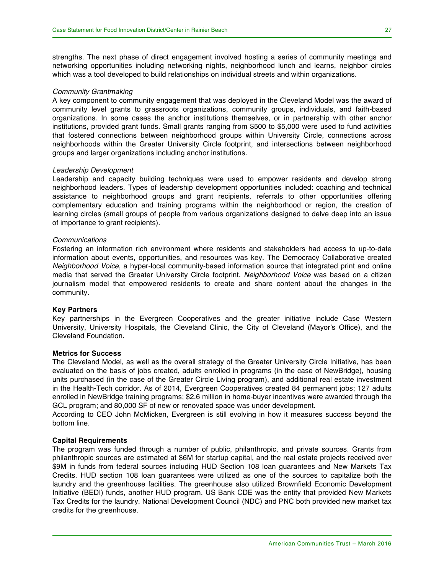strengths. The next phase of direct engagement involved hosting a series of community meetings and networking opportunities including networking nights, neighborhood lunch and learns, neighbor circles which was a tool developed to build relationships on individual streets and within organizations.

#### *Community Grantmaking*

A key component to community engagement that was deployed in the Cleveland Model was the award of community level grants to grassroots organizations, community groups, individuals, and faith-based organizations. In some cases the anchor institutions themselves, or in partnership with other anchor institutions, provided grant funds. Small grants ranging from \$500 to \$5,000 were used to fund activities that fostered connections between neighborhood groups within University Circle, connections across neighborhoods within the Greater University Circle footprint, and intersections between neighborhood groups and larger organizations including anchor institutions.

#### *Leadership Development*

Leadership and capacity building techniques were used to empower residents and develop strong neighborhood leaders. Types of leadership development opportunities included: coaching and technical assistance to neighborhood groups and grant recipients, referrals to other opportunities offering complementary education and training programs within the neighborhood or region, the creation of learning circles (small groups of people from various organizations designed to delve deep into an issue of importance to grant recipients).

#### *Communications*

Fostering an information rich environment where residents and stakeholders had access to up-to-date information about events, opportunities, and resources was key. The Democracy Collaborative created *Neighborhood Voice*, a hyper-local community-based information source that integrated print and online media that served the Greater University Circle footprint. *Neighborhood Voice* was based on a citizen journalism model that empowered residents to create and share content about the changes in the community.

#### **Key Partners**

Key partnerships in the Evergreen Cooperatives and the greater initiative include Case Western University, University Hospitals, the Cleveland Clinic, the City of Cleveland (Mayor's Office), and the Cleveland Foundation.

#### **Metrics for Success**

The Cleveland Model, as well as the overall strategy of the Greater University Circle Initiative, has been evaluated on the basis of jobs created, adults enrolled in programs (in the case of NewBridge), housing units purchased (in the case of the Greater Circle Living program), and additional real estate investment in the Health-Tech corridor. As of 2014, Evergreen Cooperatives created 84 permanent jobs; 127 adults enrolled in NewBridge training programs; \$2.6 million in home-buyer incentives were awarded through the GCL program; and 80,000 SF of new or renovated space was under development.

According to CEO John McMicken, Evergreen is still evolving in how it measures success beyond the bottom line.

#### **Capital Requirements**

The program was funded through a number of public, philanthropic, and private sources. Grants from philanthropic sources are estimated at \$6M for startup capital, and the real estate projects received over \$9M in funds from federal sources including HUD Section 108 loan guarantees and New Markets Tax Credits. HUD section 108 loan guarantees were utilized as one of the sources to capitalize both the laundry and the greenhouse facilities. The greenhouse also utilized Brownfield Economic Development Initiative (BEDI) funds, another HUD program. US Bank CDE was the entity that provided New Markets Tax Credits for the laundry. National Development Council (NDC) and PNC both provided new market tax credits for the greenhouse.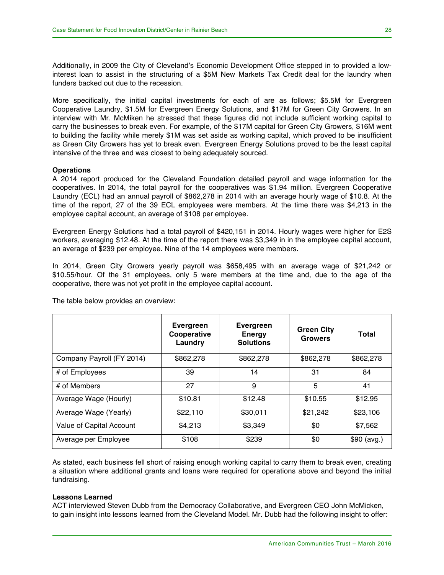Additionally, in 2009 the City of Cleveland's Economic Development Office stepped in to provided a lowinterest loan to assist in the structuring of a \$5M New Markets Tax Credit deal for the laundry when funders backed out due to the recession.

More specifically, the initial capital investments for each of are as follows; \$5.5M for Evergreen Cooperative Laundry, \$1.5M for Evergreen Energy Solutions, and \$17M for Green City Growers. In an interview with Mr. McMiken he stressed that these figures did not include sufficient working capital to carry the businesses to break even. For example, of the \$17M capital for Green City Growers, \$16M went to building the facility while merely \$1M was set aside as working capital, which proved to be insufficient as Green City Growers has yet to break even. Evergreen Energy Solutions proved to be the least capital intensive of the three and was closest to being adequately sourced.

#### **Operations**

A 2014 report produced for the Cleveland Foundation detailed payroll and wage information for the cooperatives. In 2014, the total payroll for the cooperatives was \$1.94 million. Evergreen Cooperative Laundry (ECL) had an annual payroll of \$862,278 in 2014 with an average hourly wage of \$10.8. At the time of the report, 27 of the 39 ECL employees were members. At the time there was \$4,213 in the employee capital account, an average of \$108 per employee.

Evergreen Energy Solutions had a total payroll of \$420,151 in 2014. Hourly wages were higher for E2S workers, averaging \$12.48. At the time of the report there was \$3,349 in in the employee capital account, an average of \$239 per employee. Nine of the 14 employees were members.

In 2014, Green City Growers yearly payroll was \$658,495 with an average wage of \$21,242 or \$10.55/hour. Of the 31 employees, only 5 were members at the time and, due to the age of the cooperative, there was not yet profit in the employee capital account.

|                           | <b>Evergreen</b><br>Cooperative<br>Laundry | Evergreen<br><b>Energy</b><br><b>Solutions</b> | <b>Green City</b><br><b>Growers</b> | Total       |
|---------------------------|--------------------------------------------|------------------------------------------------|-------------------------------------|-------------|
| Company Payroll (FY 2014) | \$862,278                                  | \$862,278                                      | \$862,278                           | \$862,278   |
| # of Employees            | 39                                         | 14                                             | 31                                  | 84          |
| # of Members              | 27                                         | 9                                              | 5                                   | 41          |
| Average Wage (Hourly)     | \$10.81                                    | \$12.48                                        | \$10.55                             | \$12.95     |
| Average Wage (Yearly)     | \$22,110                                   | \$30,011                                       | \$21,242                            | \$23,106    |
| Value of Capital Account  | \$4,213                                    | \$3,349                                        | \$0                                 | \$7,562     |
| Average per Employee      | \$108                                      | \$239                                          | \$0                                 | \$90 (avg.) |

The table below provides an overview:

As stated, each business fell short of raising enough working capital to carry them to break even, creating a situation where additional grants and loans were required for operations above and beyond the initial fundraising.

#### **Lessons Learned**

ACT interviewed Steven Dubb from the Democracy Collaborative, and Evergreen CEO John McMicken, to gain insight into lessons learned from the Cleveland Model. Mr. Dubb had the following insight to offer: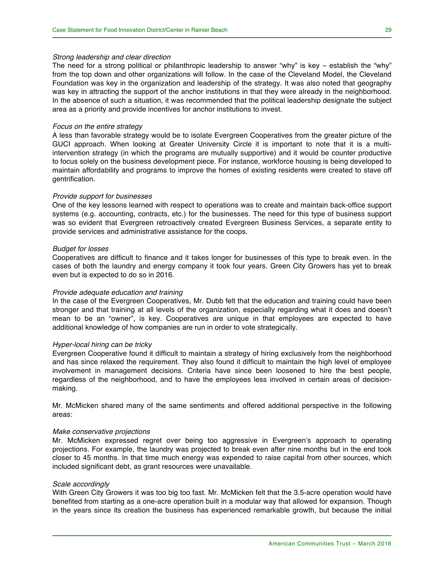#### *Strong leadership and clear direction*

The need for a strong political or philanthropic leadership to answer "why" is key – establish the "why" from the top down and other organizations will follow. In the case of the Cleveland Model, the Cleveland Foundation was key in the organization and leadership of the strategy. It was also noted that geography was key in attracting the support of the anchor institutions in that they were already in the neighborhood. In the absence of such a situation, it was recommended that the political leadership designate the subject area as a priority and provide incentives for anchor institutions to invest.

#### *Focus on the entire strategy*

A less than favorable strategy would be to isolate Evergreen Cooperatives from the greater picture of the GUCI approach. When looking at Greater University Circle it is important to note that it is a multiintervention strategy (in which the programs are mutually supportive) and it would be counter productive to focus solely on the business development piece. For instance, workforce housing is being developed to maintain affordability and programs to improve the homes of existing residents were created to stave off gentrification.

#### *Provide support for businesses*

One of the key lessons learned with respect to operations was to create and maintain back-office support systems (e.g. accounting, contracts, etc.) for the businesses. The need for this type of business support was so evident that Evergreen retroactively created Evergreen Business Services, a separate entity to provide services and administrative assistance for the coops.

#### *Budget for losses*

Cooperatives are difficult to finance and it takes longer for businesses of this type to break even. In the cases of both the laundry and energy company it took four years. Green City Growers has yet to break even but is expected to do so in 2016.

#### *Provide adequate education and training*

In the case of the Evergreen Cooperatives, Mr. Dubb felt that the education and training could have been stronger and that training at all levels of the organization, especially regarding what it does and doesn't mean to be an "owner", is key. Cooperatives are unique in that employees are expected to have additional knowledge of how companies are run in order to vote strategically.

#### *Hyper-local hiring can be tricky*

Evergreen Cooperative found it difficult to maintain a strategy of hiring exclusively from the neighborhood and has since relaxed the requirement. They also found it difficult to maintain the high level of employee involvement in management decisions. Criteria have since been loosened to hire the best people, regardless of the neighborhood, and to have the employees less involved in certain areas of decisionmaking.

Mr. McMicken shared many of the same sentiments and offered additional perspective in the following areas:

#### *Make conservative projections*

Mr. McMicken expressed regret over being too aggressive in Evergreen's approach to operating projections. For example, the laundry was projected to break even after nine months but in the end took closer to 45 months. In that time much energy was expended to raise capital from other sources, which included significant debt, as grant resources were unavailable.

#### *Scale accordingly*

With Green City Growers it was too big too fast. Mr. McMicken felt that the 3.5-acre operation would have benefited from starting as a one-acre operation built in a modular way that allowed for expansion. Though in the years since its creation the business has experienced remarkable growth, but because the initial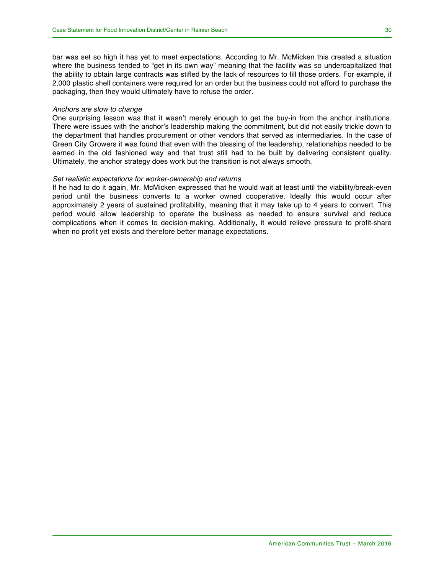where the business tended to "get in its own way" meaning that the facility was so undercapitalized that the ability to obtain large contracts was stifled by the lack of resources to fill those orders. For example, if 2,000 plastic shell containers were required for an order but the business could not afford to purchase the packaging, then they would ultimately have to refuse the order.

#### *Anchors are slow to change*

One surprising lesson was that it wasn't merely enough to get the buy-in from the anchor institutions. There were issues with the anchor's leadership making the commitment, but did not easily trickle down to the department that handles procurement or other vendors that served as intermediaries. In the case of Green City Growers it was found that even with the blessing of the leadership, relationships needed to be earned in the old fashioned way and that trust still had to be built by delivering consistent quality. Ultimately, the anchor strategy does work but the transition is not always smooth.

#### *Set realistic expectations for worker-ownership and returns*

If he had to do it again, Mr. McMicken expressed that he would wait at least until the viability/break-even period until the business converts to a worker owned cooperative. Ideally this would occur after approximately 2 years of sustained profitability, meaning that it may take up to 4 years to convert. This period would allow leadership to operate the business as needed to ensure survival and reduce complications when it comes to decision-making. Additionally, it would relieve pressure to profit-share when no profit yet exists and therefore better manage expectations.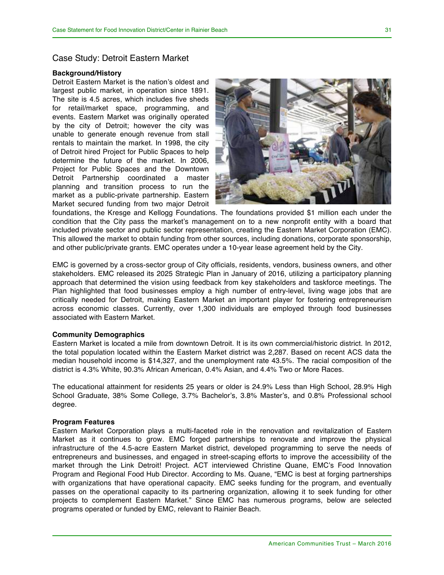#### Case Study: Detroit Eastern Market

#### **Background/History**

Detroit Eastern Market is the nation's oldest and largest public market, in operation since 1891. The site is 4.5 acres, which includes five sheds for retail/market space, programming, and events. Eastern Market was originally operated by the city of Detroit; however the city was unable to generate enough revenue from stall rentals to maintain the market. In 1998, the city of Detroit hired Project for Public Spaces to help determine the future of the market. In 2006, Project for Public Spaces and the Downtown Detroit Partnership coordinated a master planning and transition process to run the market as a public-private partnership. Eastern Market secured funding from two major Detroit



foundations, the Kresge and Kellogg Foundations. The foundations provided \$1 million each under the condition that the City pass the market's management on to a new nonprofit entity with a board that included private sector and public sector representation, creating the Eastern Market Corporation (EMC). This allowed the market to obtain funding from other sources, including donations, corporate sponsorship, and other public/private grants. EMC operates under a 10-year lease agreement held by the City.

EMC is governed by a cross-sector group of City officials, residents, vendors, business owners, and other stakeholders. EMC released its 2025 Strategic Plan in January of 2016, utilizing a participatory planning approach that determined the vision using feedback from key stakeholders and taskforce meetings. The Plan highlighted that food businesses employ a high number of entry-level, living wage jobs that are critically needed for Detroit, making Eastern Market an important player for fostering entrepreneurism across economic classes. Currently, over 1,300 individuals are employed through food businesses associated with Eastern Market.

#### **Community Demographics**

Eastern Market is located a mile from downtown Detroit. It is its own commercial/historic district. In 2012, the total population located within the Eastern Market district was 2,287. Based on recent ACS data the median household income is \$14,327, and the unemployment rate 43.5%. The racial composition of the district is 4.3% White, 90.3% African American, 0.4% Asian, and 4.4% Two or More Races.

The educational attainment for residents 25 years or older is 24.9% Less than High School, 28.9% High School Graduate, 38% Some College, 3.7% Bachelor's, 3.8% Master's, and 0.8% Professional school degree.

#### **Program Features**

Eastern Market Corporation plays a multi-faceted role in the renovation and revitalization of Eastern Market as it continues to grow. EMC forged partnerships to renovate and improve the physical infrastructure of the 4.5-acre Eastern Market district, developed programming to serve the needs of entrepreneurs and businesses, and engaged in street-scaping efforts to improve the accessibility of the market through the Link Detroit! Project. ACT interviewed Christine Quane, EMC's Food Innovation Program and Regional Food Hub Director. According to Ms. Quane, "EMC is best at forging partnerships with organizations that have operational capacity. EMC seeks funding for the program, and eventually passes on the operational capacity to its partnering organization, allowing it to seek funding for other projects to complement Eastern Market." Since EMC has numerous programs, below are selected programs operated or funded by EMC, relevant to Rainier Beach.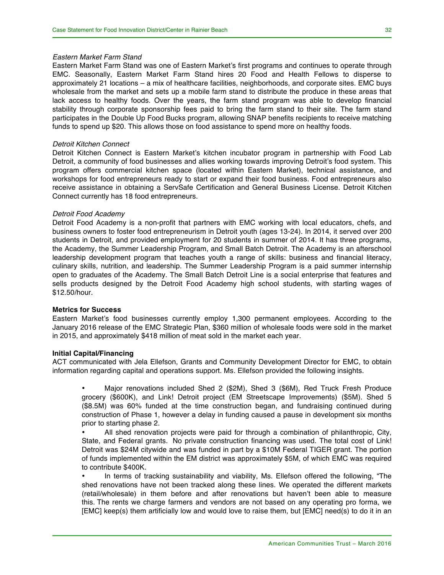Eastern Market Farm Stand was one of Eastern Market's first programs and continues to operate through EMC. Seasonally, Eastern Market Farm Stand hires 20 Food and Health Fellows to disperse to approximately 21 locations – a mix of healthcare facilities, neighborhoods, and corporate sites. EMC buys wholesale from the market and sets up a mobile farm stand to distribute the produce in these areas that lack access to healthy foods. Over the years, the farm stand program was able to develop financial stability through corporate sponsorship fees paid to bring the farm stand to their site. The farm stand participates in the Double Up Food Bucks program, allowing SNAP benefits recipients to receive matching funds to spend up \$20. This allows those on food assistance to spend more on healthy foods.

#### *Detroit Kitchen Connect*

Detroit Kitchen Connect is Eastern Market's kitchen incubator program in partnership with Food Lab Detroit, a community of food businesses and allies working towards improving Detroit's food system. This program offers commercial kitchen space (located within Eastern Market), technical assistance, and workshops for food entrepreneurs ready to start or expand their food business. Food entrepreneurs also receive assistance in obtaining a ServSafe Certification and General Business License. Detroit Kitchen Connect currently has 18 food entrepreneurs.

#### *Detroit Food Academy*

Detroit Food Academy is a non-profit that partners with EMC working with local educators, chefs, and business owners to foster food entrepreneurism in Detroit youth (ages 13-24). In 2014, it served over 200 students in Detroit, and provided employment for 20 students in summer of 2014. It has three programs, the Academy, the Summer Leadership Program, and Small Batch Detroit. The Academy is an afterschool leadership development program that teaches youth a range of skills: business and financial literacy, culinary skills, nutrition, and leadership. The Summer Leadership Program is a paid summer internship open to graduates of the Academy. The Small Batch Detroit Line is a social enterprise that features and sells products designed by the Detroit Food Academy high school students, with starting wages of \$12.50/hour.

#### **Metrics for Success**

Eastern Market's food businesses currently employ 1,300 permanent employees. According to the January 2016 release of the EMC Strategic Plan, \$360 million of wholesale foods were sold in the market in 2015, and approximately \$418 million of meat sold in the market each year.

#### **Initial Capital/Financing**

ACT communicated with Jela Ellefson, Grants and Community Development Director for EMC, to obtain information regarding capital and operations support. Ms. Ellefson provided the following insights.

• Major renovations included Shed 2 (\$2M), Shed 3 (\$6M), Red Truck Fresh Produce grocery (\$600K), and Link! Detroit project (EM Streetscape Improvements) (\$5M). Shed 5 (\$8.5M) was 60% funded at the time construction began, and fundraising continued during construction of Phase 1, however a delay in funding caused a pause in development six months prior to starting phase 2.

• All shed renovation projects were paid for through a combination of philanthropic, City, State, and Federal grants. No private construction financing was used. The total cost of Link! Detroit was \$24M citywide and was funded in part by a \$10M Federal TIGER grant. The portion of funds implemented within the EM district was approximately \$5M, of which EMC was required to contribute \$400K.

• In terms of tracking sustainability and viability, Ms. Ellefson offered the following, "The shed renovations have not been tracked along these lines. We operated the different markets (retail/wholesale) in them before and after renovations but haven't been able to measure this. The rents we charge farmers and vendors are not based on any operating pro forma, we [EMC] keep(s) them artificially low and would love to raise them, but [EMC] need(s) to do it in an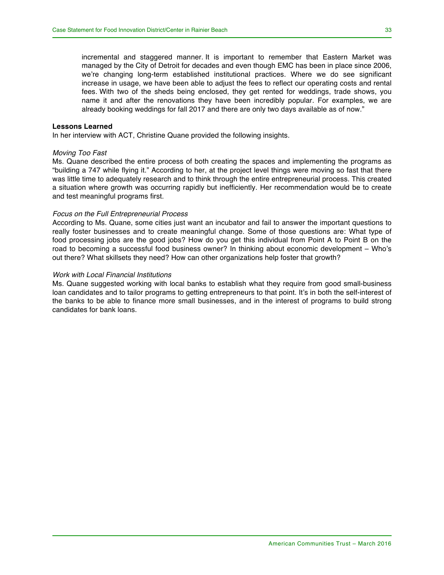incremental and staggered manner. It is important to remember that Eastern Market was managed by the City of Detroit for decades and even though EMC has been in place since 2006, we're changing long-term established institutional practices. Where we do see significant increase in usage, we have been able to adjust the fees to reflect our operating costs and rental fees. With two of the sheds being enclosed, they get rented for weddings, trade shows, you name it and after the renovations they have been incredibly popular. For examples, we are already booking weddings for fall 2017 and there are only two days available as of now."

#### **Lessons Learned**

In her interview with ACT, Christine Quane provided the following insights.

#### *Moving Too Fast*

Ms. Quane described the entire process of both creating the spaces and implementing the programs as "building a 747 while flying it." According to her, at the project level things were moving so fast that there was little time to adequately research and to think through the entire entrepreneurial process. This created a situation where growth was occurring rapidly but inefficiently. Her recommendation would be to create and test meaningful programs first.

#### *Focus on the Full Entrepreneurial Process*

According to Ms. Quane, some cities just want an incubator and fail to answer the important questions to really foster businesses and to create meaningful change. Some of those questions are: What type of food processing jobs are the good jobs? How do you get this individual from Point A to Point B on the road to becoming a successful food business owner? In thinking about economic development – Who's out there? What skillsets they need? How can other organizations help foster that growth?

#### *Work with Local Financial Institutions*

Ms. Quane suggested working with local banks to establish what they require from good small-business loan candidates and to tailor programs to getting entrepreneurs to that point. It's in both the self-interest of the banks to be able to finance more small businesses, and in the interest of programs to build strong candidates for bank loans.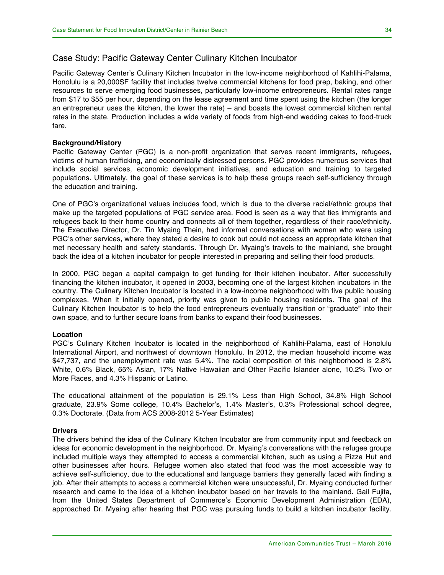### Case Study: Pacific Gateway Center Culinary Kitchen Incubator

Pacific Gateway Center's Culinary Kitchen Incubator in the low-income neighborhood of Kahlihi-Palama, Honolulu is a 20,000SF facility that includes twelve commercial kitchens for food prep, baking, and other resources to serve emerging food businesses, particularly low-income entrepreneurs. Rental rates range from \$17 to \$55 per hour, depending on the lease agreement and time spent using the kitchen (the longer an entrepreneur uses the kitchen, the lower the rate) – and boasts the lowest commercial kitchen rental rates in the state. Production includes a wide variety of foods from high-end wedding cakes to food-truck fare.

#### **Background/History**

Pacific Gateway Center (PGC) is a non-profit organization that serves recent immigrants, refugees, victims of human trafficking, and economically distressed persons. PGC provides numerous services that include social services, economic development initiatives, and education and training to targeted populations. Ultimately, the goal of these services is to help these groups reach self-sufficiency through the education and training.

One of PGC's organizational values includes food, which is due to the diverse racial/ethnic groups that make up the targeted populations of PGC service area. Food is seen as a way that ties immigrants and refugees back to their home country and connects all of them together, regardless of their race/ethnicity. The Executive Director, Dr. Tin Myaing Thein, had informal conversations with women who were using PGC's other services, where they stated a desire to cook but could not access an appropriate kitchen that met necessary health and safety standards. Through Dr. Myaing's travels to the mainland, she brought back the idea of a kitchen incubator for people interested in preparing and selling their food products.

In 2000, PGC began a capital campaign to get funding for their kitchen incubator. After successfully financing the kitchen incubator, it opened in 2003, becoming one of the largest kitchen incubators in the country. The Culinary Kitchen Incubator is located in a low-income neighborhood with five public housing complexes. When it initially opened, priority was given to public housing residents. The goal of the Culinary Kitchen Incubator is to help the food entrepreneurs eventually transition or "graduate" into their own space, and to further secure loans from banks to expand their food businesses.

#### **Location**

PGC's Culinary Kitchen Incubator is located in the neighborhood of Kahlihi-Palama, east of Honolulu International Airport, and northwest of downtown Honolulu. In 2012, the median household income was \$47,737, and the unemployment rate was 5.4%. The racial composition of this neighborhood is 2.8% White, 0.6% Black, 65% Asian, 17% Native Hawaiian and Other Pacific Islander alone, 10.2% Two or More Races, and 4.3% Hispanic or Latino.

The educational attainment of the population is 29.1% Less than High School, 34.8% High School graduate, 23.9% Some college, 10.4% Bachelor's, 1.4% Master's, 0.3% Professional school degree, 0.3% Doctorate. (Data from ACS 2008-2012 5-Year Estimates)

#### **Drivers**

The drivers behind the idea of the Culinary Kitchen Incubator are from community input and feedback on ideas for economic development in the neighborhood. Dr. Myaing's conversations with the refugee groups included multiple ways they attempted to access a commercial kitchen, such as using a Pizza Hut and other businesses after hours. Refugee women also stated that food was the most accessible way to achieve self-sufficiency, due to the educational and language barriers they generally faced with finding a job. After their attempts to access a commercial kitchen were unsuccessful, Dr. Myaing conducted further research and came to the idea of a kitchen incubator based on her travels to the mainland. Gail Fujita, from the United States Department of Commerce's Economic Development Administration (EDA), approached Dr. Myaing after hearing that PGC was pursuing funds to build a kitchen incubator facility.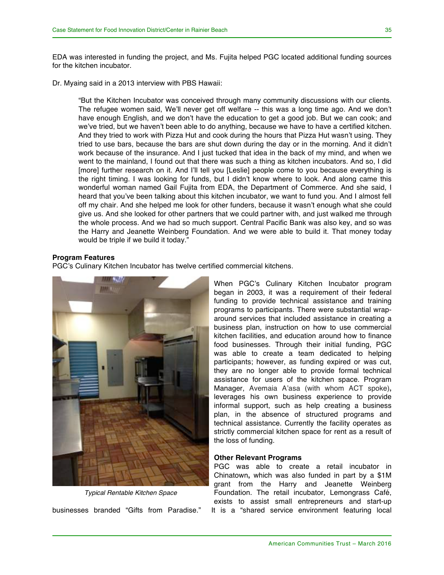EDA was interested in funding the project, and Ms. Fujita helped PGC located additional funding sources for the kitchen incubator.

Dr. Myaing said in a 2013 interview with PBS Hawaii:

"But the Kitchen Incubator was conceived through many community discussions with our clients. The refugee women said, We'll never get off welfare -- this was a long time ago. And we don't have enough English, and we don't have the education to get a good job. But we can cook; and we've tried, but we haven't been able to do anything, because we have to have a certified kitchen. And they tried to work with Pizza Hut and cook during the hours that Pizza Hut wasn't using. They tried to use bars, because the bars are shut down during the day or in the morning. And it didn't work because of the insurance. And I just tucked that idea in the back of my mind, and when we went to the mainland, I found out that there was such a thing as kitchen incubators. And so, I did [more] further research on it. And I'll tell you [Leslie] people come to you because everything is the right timing. I was looking for funds, but I didn't know where to look. And along came this wonderful woman named Gail Fujita from EDA, the Department of Commerce. And she said, I heard that you've been talking about this kitchen incubator, we want to fund you. And I almost fell off my chair. And she helped me look for other funders, because it wasn't enough what she could give us. And she looked for other partners that we could partner with, and just walked me through the whole process. And we had so much support. Central Pacific Bank was also key, and so was the Harry and Jeanette Weinberg Foundation. And we were able to build it. That money today would be triple if we build it today."

#### **Program Features**

PGC's Culinary Kitchen Incubator has twelve certified commercial kitchens.



*Typical Rentable Kitchen Space*

When PGC's Culinary Kitchen Incubator program began in 2003, it was a requirement of their federal funding to provide technical assistance and training programs to participants. There were substantial wraparound services that included assistance in creating a business plan, instruction on how to use commercial kitchen facilities, and education around how to finance food businesses. Through their initial funding, PGC was able to create a team dedicated to helping participants; however, as funding expired or was cut, they are no longer able to provide formal technical assistance for users of the kitchen space. Program Manager, Avemaia A'asa (with whom ACT spoke)**,** leverages his own business experience to provide informal support, such as help creating a business plan, in the absence of structured programs and technical assistance. Currently the facility operates as strictly commercial kitchen space for rent as a result of the loss of funding.

#### **Other Relevant Programs**

PGC was able to create a retail incubator in Chinatown**,** which was also funded in part by a \$1M grant from the Harry and Jeanette Weinberg Foundation. The retail incubator, Lemongrass Café, exists to assist small entrepreneurs and start-up businesses branded "Gifts from Paradise." It is a "shared service environment featuring local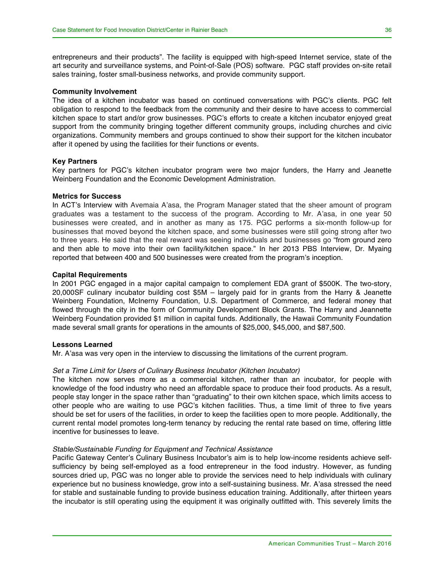entrepreneurs and their products". The facility is equipped with high-speed Internet service, state of the art security and surveillance systems, and Point-of-Sale (POS) software. PGC staff provides on-site retail sales training, foster small-business networks, and provide community support.

#### **Community Involvement**

The idea of a kitchen incubator was based on continued conversations with PGC's clients. PGC felt obligation to respond to the feedback from the community and their desire to have access to commercial kitchen space to start and/or grow businesses. PGC's efforts to create a kitchen incubator enjoyed great support from the community bringing together different community groups, including churches and civic organizations. Community members and groups continued to show their support for the kitchen incubator after it opened by using the facilities for their functions or events.

#### **Key Partners**

Key partners for PGC's kitchen incubator program were two major funders, the Harry and Jeanette Weinberg Foundation and the Economic Development Administration.

#### **Metrics for Success**

In ACT's Interview with Avemaia A'asa, the Program Manager stated that the sheer amount of program graduates was a testament to the success of the program. According to Mr. A'asa, in one year 50 businesses were created, and in another as many as 175. PGC performs a six-month follow-up for businesses that moved beyond the kitchen space, and some businesses were still going strong after two to three years. He said that the real reward was seeing individuals and businesses go "from ground zero and then able to move into their own facility/kitchen space." In her 2013 PBS Interview, Dr. Myaing reported that between 400 and 500 businesses were created from the program's inception.

#### **Capital Requirements**

In 2001 PGC engaged in a major capital campaign to complement EDA grant of \$500K. The two-story, 20,000SF culinary incubator building cost \$5M – largely paid for in grants from the Harry & Jeanette Weinberg Foundation, McInerny Foundation, U.S. Department of Commerce, and federal money that flowed through the city in the form of Community Development Block Grants. The Harry and Jeannette Weinberg Foundation provided \$1 million in capital funds. Additionally, the Hawaii Community Foundation made several small grants for operations in the amounts of \$25,000, \$45,000, and \$87,500.

#### **Lessons Learned**

Mr. A'asa was very open in the interview to discussing the limitations of the current program.

#### *Set a Time Limit for Users of Culinary Business Incubator (Kitchen Incubator)*

The kitchen now serves more as a commercial kitchen, rather than an incubator, for people with knowledge of the food industry who need an affordable space to produce their food products. As a result, people stay longer in the space rather than "graduating" to their own kitchen space, which limits access to other people who are waiting to use PGC's kitchen facilities. Thus, a time limit of three to five years should be set for users of the facilities, in order to keep the facilities open to more people. Additionally, the current rental model promotes long-term tenancy by reducing the rental rate based on time, offering little incentive for businesses to leave.

#### *Stable/Sustainable Funding for Equipment and Technical Assistance*

Pacific Gateway Center's Culinary Business Incubator's aim is to help low-income residents achieve selfsufficiency by being self-employed as a food entrepreneur in the food industry. However, as funding sources dried up, PGC was no longer able to provide the services need to help individuals with culinary experience but no business knowledge, grow into a self-sustaining business. Mr. A'asa stressed the need for stable and sustainable funding to provide business education training. Additionally, after thirteen years the incubator is still operating using the equipment it was originally outfitted with. This severely limits the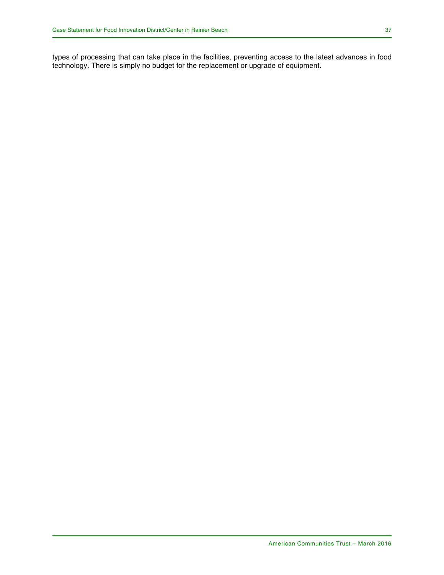types of processing that can take place in the facilities, preventing access to the latest advances in food technology. There is simply no budget for the replacement or upgrade of equipment.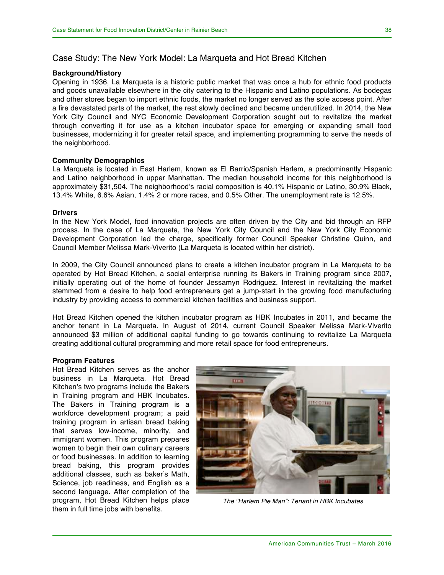### Case Study: The New York Model: La Marqueta and Hot Bread Kitchen

### **Background/History**

Opening in 1936, La Marqueta is a historic public market that was once a hub for ethnic food products and goods unavailable elsewhere in the city catering to the Hispanic and Latino populations. As bodegas and other stores began to import ethnic foods, the market no longer served as the sole access point. After a fire devastated parts of the market, the rest slowly declined and became underutilized. In 2014, the New York City Council and NYC Economic Development Corporation sought out to revitalize the market through converting it for use as a kitchen incubator space for emerging or expanding small food businesses, modernizing it for greater retail space, and implementing programming to serve the needs of the neighborhood.

#### **Community Demographics**

La Marqueta is located in East Harlem, known as El Barrio/Spanish Harlem, a predominantly Hispanic and Latino neighborhood in upper Manhattan. The median household income for this neighborhood is approximately \$31,504. The neighborhood's racial composition is 40.1% Hispanic or Latino, 30.9% Black, 13.4% White, 6.6% Asian, 1.4% 2 or more races, and 0.5% Other. The unemployment rate is 12.5%.

#### **Drivers**

In the New York Model, food innovation projects are often driven by the City and bid through an RFP process. In the case of La Marqueta, the New York City Council and the New York City Economic Development Corporation led the charge, specifically former Council Speaker Christine Quinn, and Council Member Melissa Mark-Viverito (La Marqueta is located within her district).

In 2009, the City Council announced plans to create a kitchen incubator program in La Marqueta to be operated by Hot Bread Kitchen, a social enterprise running its Bakers in Training program since 2007, initially operating out of the home of founder Jessamyn Rodriguez. Interest in revitalizing the market stemmed from a desire to help food entrepreneurs get a jump-start in the growing food manufacturing industry by providing access to commercial kitchen facilities and business support.

Hot Bread Kitchen opened the kitchen incubator program as HBK Incubates in 2011, and became the anchor tenant in La Marqueta. In August of 2014, current Council Speaker Melissa Mark-Viverito announced \$3 million of additional capital funding to go towards continuing to revitalize La Marqueta creating additional cultural programming and more retail space for food entrepreneurs.

#### **Program Features**

Hot Bread Kitchen serves as the anchor business in La Marqueta. Hot Bread Kitchen's two programs include the Bakers in Training program and HBK Incubates. The Bakers in Training program is a workforce development program; a paid training program in artisan bread baking that serves low-income, minority, and immigrant women. This program prepares women to begin their own culinary careers or food businesses. In addition to learning bread baking, this program provides additional classes, such as baker's Math, Science, job readiness, and English as a second language. After completion of the program, Hot Bread Kitchen helps place them in full time jobs with benefits.



*The "Harlem Pie Man": Tenant in HBK Incubates*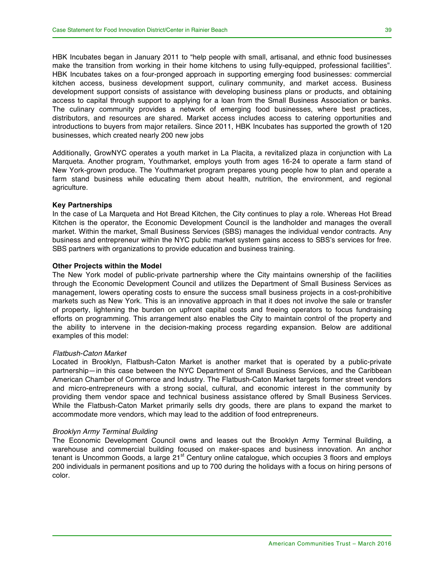HBK Incubates began in January 2011 to "help people with small, artisanal, and ethnic food businesses make the transition from working in their home kitchens to using fully-equipped, professional facilities". HBK Incubates takes on a four-pronged approach in supporting emerging food businesses: commercial kitchen access, business development support, culinary community, and market access. Business development support consists of assistance with developing business plans or products, and obtaining access to capital through support to applying for a loan from the Small Business Association or banks. The culinary community provides a network of emerging food businesses, where best practices, distributors, and resources are shared. Market access includes access to catering opportunities and introductions to buyers from major retailers. Since 2011, HBK Incubates has supported the growth of 120 businesses, which created nearly 200 new jobs

Additionally, GrowNYC operates a youth market in La Placita, a revitalized plaza in conjunction with La Marqueta. Another program, Youthmarket, employs youth from ages 16-24 to operate a farm stand of New York-grown produce. The Youthmarket program prepares young people how to plan and operate a farm stand business while educating them about health, nutrition, the environment, and regional agriculture.

#### **Key Partnerships**

In the case of La Marqueta and Hot Bread Kitchen, the City continues to play a role. Whereas Hot Bread Kitchen is the operator, the Economic Development Council is the landholder and manages the overall market. Within the market, Small Business Services (SBS) manages the individual vendor contracts. Any business and entrepreneur within the NYC public market system gains access to SBS's services for free. SBS partners with organizations to provide education and business training.

#### **Other Projects within the Model**

The New York model of public-private partnership where the City maintains ownership of the facilities through the Economic Development Council and utilizes the Department of Small Business Services as management, lowers operating costs to ensure the success small business projects in a cost-prohibitive markets such as New York. This is an innovative approach in that it does not involve the sale or transfer of property, lightening the burden on upfront capital costs and freeing operators to focus fundraising efforts on programming. This arrangement also enables the City to maintain control of the property and the ability to intervene in the decision-making process regarding expansion. Below are additional examples of this model:

#### *Flatbush-Caton Market*

Located in Brooklyn, Flatbush-Caton Market is another market that is operated by a public-private partnership—in this case between the NYC Department of Small Business Services, and the Caribbean American Chamber of Commerce and Industry. The Flatbush-Caton Market targets former street vendors and micro-entrepreneurs with a strong social, cultural, and economic interest in the community by providing them vendor space and technical business assistance offered by Small Business Services. While the Flatbush-Caton Market primarily sells dry goods, there are plans to expand the market to accommodate more vendors, which may lead to the addition of food entrepreneurs.

#### *Brooklyn Army Terminal Building*

The Economic Development Council owns and leases out the Brooklyn Army Terminal Building, a warehouse and commercial building focused on maker-spaces and business innovation. An anchor tenant is Uncommon Goods, a large 21<sup>st</sup> Century online catalogue, which occupies 3 floors and employs 200 individuals in permanent positions and up to 700 during the holidays with a focus on hiring persons of color.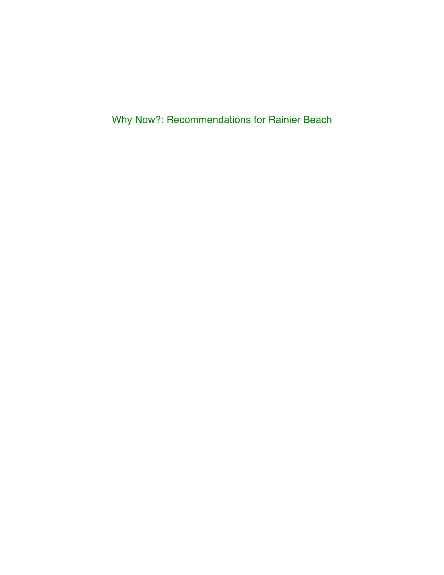Why Now?: Recommendations for Rainier Beach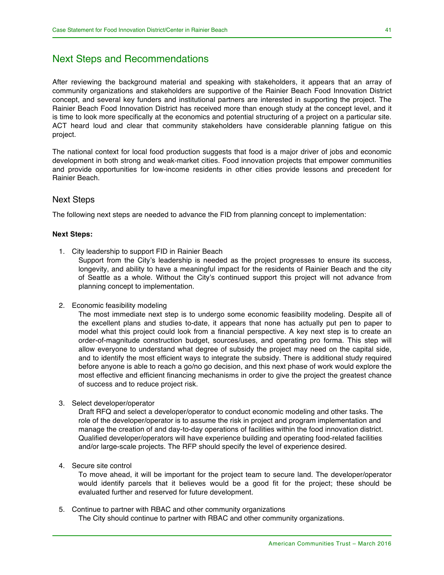### Next Steps and Recommendations

After reviewing the background material and speaking with stakeholders, it appears that an array of community organizations and stakeholders are supportive of the Rainier Beach Food Innovation District concept, and several key funders and institutional partners are interested in supporting the project. The Rainier Beach Food Innovation District has received more than enough study at the concept level, and it is time to look more specifically at the economics and potential structuring of a project on a particular site. ACT heard loud and clear that community stakeholders have considerable planning fatigue on this project.

The national context for local food production suggests that food is a major driver of jobs and economic development in both strong and weak-market cities. Food innovation projects that empower communities and provide opportunities for low-income residents in other cities provide lessons and precedent for Rainier Beach.

### Next Steps

The following next steps are needed to advance the FID from planning concept to implementation:

#### **Next Steps:**

1. City leadership to support FID in Rainier Beach

Support from the City's leadership is needed as the project progresses to ensure its success, longevity, and ability to have a meaningful impact for the residents of Rainier Beach and the city of Seattle as a whole. Without the City's continued support this project will not advance from planning concept to implementation.

2. Economic feasibility modeling

The most immediate next step is to undergo some economic feasibility modeling. Despite all of the excellent plans and studies to-date, it appears that none has actually put pen to paper to model what this project could look from a financial perspective. A key next step is to create an order-of-magnitude construction budget, sources/uses, and operating pro forma. This step will allow everyone to understand what degree of subsidy the project may need on the capital side, and to identify the most efficient ways to integrate the subsidy. There is additional study required before anyone is able to reach a go/no go decision, and this next phase of work would explore the most effective and efficient financing mechanisms in order to give the project the greatest chance of success and to reduce project risk.

3. Select developer/operator

Draft RFQ and select a developer/operator to conduct economic modeling and other tasks. The role of the developer/operator is to assume the risk in project and program implementation and manage the creation of and day-to-day operations of facilities within the food innovation district. Qualified developer/operators will have experience building and operating food-related facilities and/or large-scale projects. The RFP should specify the level of experience desired.

4. Secure site control

To move ahead, it will be important for the project team to secure land. The developer/operator would identify parcels that it believes would be a good fit for the project; these should be evaluated further and reserved for future development.

5. Continue to partner with RBAC and other community organizations The City should continue to partner with RBAC and other community organizations.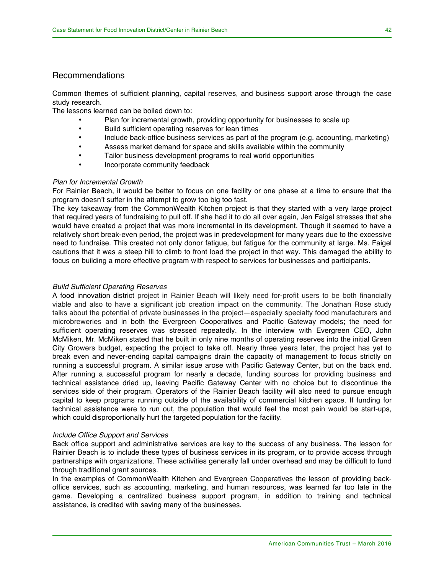### Recommendations

Common themes of sufficient planning, capital reserves, and business support arose through the case study research.

The lessons learned can be boiled down to:

- Plan for incremental growth, providing opportunity for businesses to scale up
- Build sufficient operating reserves for lean times
- Include back-office business services as part of the program (e.g. accounting, marketing)
- Assess market demand for space and skills available within the community
- Tailor business development programs to real world opportunities
- Incorporate community feedback

#### *Plan for Incremental Growth*

For Rainier Beach, it would be better to focus on one facility or one phase at a time to ensure that the program doesn't suffer in the attempt to grow too big too fast.

The key takeaway from the CommonWealth Kitchen project is that they started with a very large project that required years of fundraising to pull off. If she had it to do all over again, Jen Faigel stresses that she would have created a project that was more incremental in its development. Though it seemed to have a relatively short break-even period, the project was in predevelopment for many years due to the excessive need to fundraise. This created not only donor fatigue, but fatigue for the community at large. Ms. Faigel cautions that it was a steep hill to climb to front load the project in that way. This damaged the ability to focus on building a more effective program with respect to services for businesses and participants.

#### *Build Sufficient Operating Reserves*

A food innovation district project in Rainier Beach will likely need for-profit users to be both financially viable and also to have a significant job creation impact on the community. The Jonathan Rose study talks about the potential of private businesses in the project—especially specialty food manufacturers and microbreweries and in both the Evergreen Cooperatives and Pacific Gateway models; the need for sufficient operating reserves was stressed repeatedly. In the interview with Evergreen CEO, John McMiken, Mr. McMiken stated that he built in only nine months of operating reserves into the initial Green City Growers budget, expecting the project to take off. Nearly three years later, the project has yet to break even and never-ending capital campaigns drain the capacity of management to focus strictly on running a successful program. A similar issue arose with Pacific Gateway Center, but on the back end. After running a successful program for nearly a decade, funding sources for providing business and technical assistance dried up, leaving Pacific Gateway Center with no choice but to discontinue the services side of their program. Operators of the Rainier Beach facility will also need to pursue enough capital to keep programs running outside of the availability of commercial kitchen space. If funding for technical assistance were to run out, the population that would feel the most pain would be start-ups, which could disproportionally hurt the targeted population for the facility.

#### *Include Office Support and Services*

Back office support and administrative services are key to the success of any business. The lesson for Rainier Beach is to include these types of business services in its program, or to provide access through partnerships with organizations. These activities generally fall under overhead and may be difficult to fund through traditional grant sources.

In the examples of CommonWealth Kitchen and Evergreen Cooperatives the lesson of providing backoffice services, such as accounting, marketing, and human resources, was learned far too late in the game. Developing a centralized business support program, in addition to training and technical assistance, is credited with saving many of the businesses.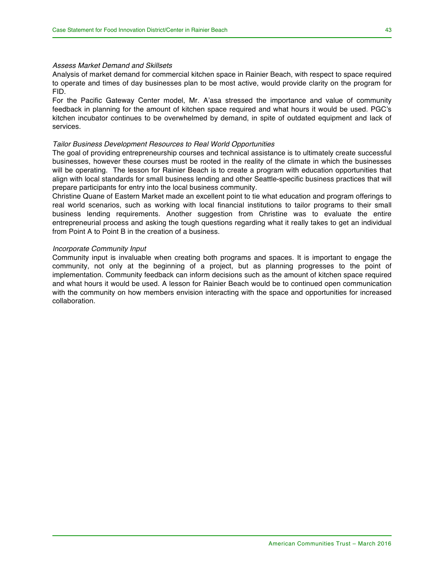#### *Assess Market Demand and Skillsets*

Analysis of market demand for commercial kitchen space in Rainier Beach, with respect to space required to operate and times of day businesses plan to be most active, would provide clarity on the program for FID.

For the Pacific Gateway Center model, Mr. A'asa stressed the importance and value of community feedback in planning for the amount of kitchen space required and what hours it would be used. PGC's kitchen incubator continues to be overwhelmed by demand, in spite of outdated equipment and lack of services.

#### *Tailor Business Development Resources to Real World Opportunities*

The goal of providing entrepreneurship courses and technical assistance is to ultimately create successful businesses, however these courses must be rooted in the reality of the climate in which the businesses will be operating. The lesson for Rainier Beach is to create a program with education opportunities that align with local standards for small business lending and other Seattle-specific business practices that will prepare participants for entry into the local business community.

Christine Quane of Eastern Market made an excellent point to tie what education and program offerings to real world scenarios, such as working with local financial institutions to tailor programs to their small business lending requirements. Another suggestion from Christine was to evaluate the entire entrepreneurial process and asking the tough questions regarding what it really takes to get an individual from Point A to Point B in the creation of a business.

#### *Incorporate Community Input*

Community input is invaluable when creating both programs and spaces. It is important to engage the community, not only at the beginning of a project, but as planning progresses to the point of implementation. Community feedback can inform decisions such as the amount of kitchen space required and what hours it would be used. A lesson for Rainier Beach would be to continued open communication with the community on how members envision interacting with the space and opportunities for increased collaboration.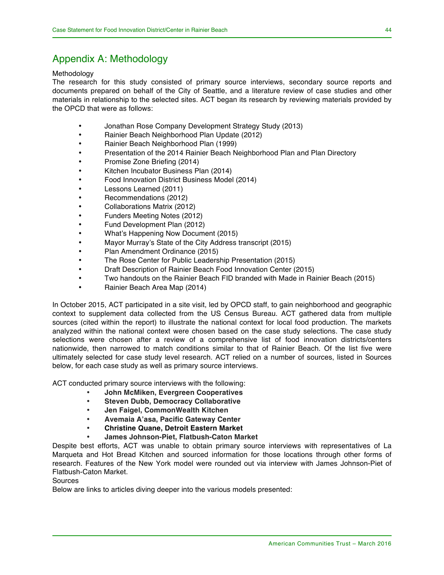## Appendix A: Methodology

#### Methodology

The research for this study consisted of primary source interviews, secondary source reports and documents prepared on behalf of the City of Seattle, and a literature review of case studies and other materials in relationship to the selected sites. ACT began its research by reviewing materials provided by the OPCD that were as follows:

- Jonathan Rose Company Development Strategy Study (2013)
- Rainier Beach Neighborhood Plan Update (2012)
- Rainier Beach Neighborhood Plan (1999)
- Presentation of the 2014 Rainier Beach Neighborhood Plan and Plan Directory
- Promise Zone Briefing (2014)
- Kitchen Incubator Business Plan (2014)
- Food Innovation District Business Model (2014)
- Lessons Learned (2011)
- Recommendations (2012)
- Collaborations Matrix (2012)
- Funders Meeting Notes (2012)
- Fund Development Plan (2012)
- What's Happening Now Document (2015)
- Mayor Murray's State of the City Address transcript (2015)
- Plan Amendment Ordinance (2015)
- The Rose Center for Public Leadership Presentation (2015)
- Draft Description of Rainier Beach Food Innovation Center (2015)
- Two handouts on the Rainier Beach FID branded with Made in Rainier Beach (2015)
- Rainier Beach Area Map (2014)

In October 2015, ACT participated in a site visit, led by OPCD staff, to gain neighborhood and geographic context to supplement data collected from the US Census Bureau. ACT gathered data from multiple sources (cited within the report) to illustrate the national context for local food production. The markets analyzed within the national context were chosen based on the case study selections. The case study selections were chosen after a review of a comprehensive list of food innovation districts/centers nationwide, then narrowed to match conditions similar to that of Rainier Beach. Of the list five were ultimately selected for case study level research. ACT relied on a number of sources, listed in Sources below, for each case study as well as primary source interviews.

ACT conducted primary source interviews with the following:

- **John McMiken, Evergreen Cooperatives**
- **Steven Dubb, Democracy Collaborative**
- **Jen Faigel, CommonWealth Kitchen**
- **Avemaia A'asa, Pacific Gateway Center**
- **Christine Quane, Detroit Eastern Market**
- **James Johnson-Piet, Flatbush-Caton Market**

Despite best efforts, ACT was unable to obtain primary source interviews with representatives of La Marqueta and Hot Bread Kitchen and sourced information for those locations through other forms of research. Features of the New York model were rounded out via interview with James Johnson-Piet of Flatbush-Caton Market.

#### Sources

Below are links to articles diving deeper into the various models presented: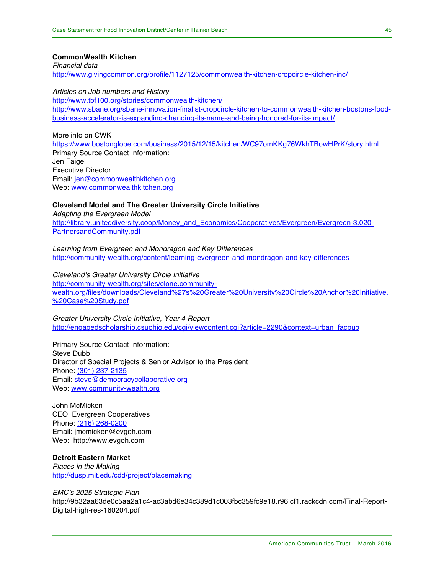**CommonWealth Kitchen** *Financial data* http://www.givingcommon.org/profile/1127125/commonwealth-kitchen-cropcircle-kitchen-inc/

*Articles on Job numbers and History*

http://www.tbf100.org/stories/commonwealth-kitchen/ http://www.sbane.org/sbane-innovation-finalist-cropcircle-kitchen-to-commonwealth-kitchen-bostons-foodbusiness-accelerator-is-expanding-changing-its-name-and-being-honored-for-its-impact/

More info on CWK https://www.bostonglobe.com/business/2015/12/15/kitchen/WC97omKKg76WkhTBowHPrK/story.html Primary Source Contact Information: Jen Faigel Executive Director Email: jen@commonwealthkitchen.org Web: www.commonwealthkitchen.org

**Cleveland Model and The Greater University Circle Initiative** *Adapting the Evergreen Model* http://library.uniteddiversity.coop/Money\_and\_Economics/Cooperatives/Evergreen/Evergreen-3.020- PartnersandCommunity.pdf

*Learning from Evergreen and Mondragon and Key Differences* http://community-wealth.org/content/learning-evergreen-and-mondragon-and-key-differences

*Cleveland's Greater University Circle Initiative* http://community-wealth.org/sites/clone.communitywealth.org/files/downloads/Cleveland%27s%20Greater%20University%20Circle%20Anchor%20Initiative. %20Case%20Study.pdf

*Greater University Circle Initiative, Year 4 Report* http://engagedscholarship.csuohio.edu/cgi/viewcontent.cgi?article=2290&context=urban\_facpub

Primary Source Contact Information: Steve Dubb Director of Special Projects & Senior Advisor to the President Phone: (301) 237-2135 Email: steve@democracycollaborative.org Web: www.community-wealth.org

John McMicken CEO, Evergreen Cooperatives Phone: (216) 268-0200 Email: jmcmicken@evgoh.com Web: http://www.evgoh.com

#### **Detroit Eastern Market**

*Places in the Making* http://dusp.mit.edu/cdd/project/placemaking

*EMC's 2025 Strategic Plan* http://9b32aa63de0c5aa2a1c4-ac3abd6e34c389d1c003fbc359fc9e18.r96.cf1.rackcdn.com/Final-Report-Digital-high-res-160204.pdf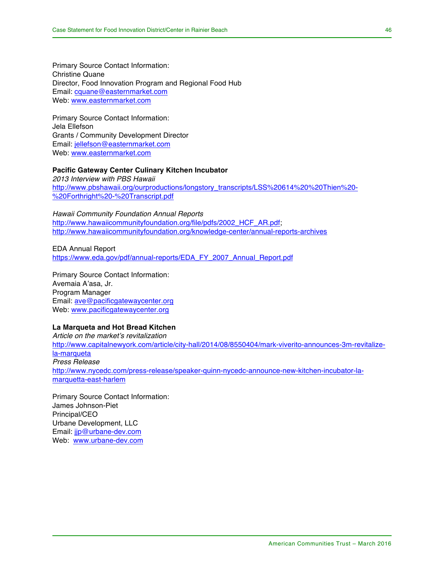Primary Source Contact Information: Christine Quane Director, Food Innovation Program and Regional Food Hub Email: cquane@easternmarket.com Web: www.easternmarket.com

Primary Source Contact Information: Jela Ellefson Grants / Community Development Director Email: jellefson@easternmarket.com Web: www.easternmarket.com

#### **Pacific Gateway Center Culinary Kitchen Incubator**

*2013 Interview with PBS Hawaii*  http://www.pbshawaii.org/ourproductions/longstory\_transcripts/LSS%20614%20%20Thien%20- %20Forthright%20-%20Transcript.pdf

*Hawaii Community Foundation Annual Reports* http://www.hawaiicommunityfoundation.org/file/pdfs/2002\_HCF\_AR.pdf; http://www.hawaiicommunityfoundation.org/knowledge-center/annual-reports-archives

EDA Annual Report https://www.eda.gov/pdf/annual-reports/EDA\_FY\_2007\_Annual\_Report.pdf

Primary Source Contact Information: Avemaia A'asa, Jr. Program Manager Email: ave@pacificgatewaycenter.org Web: www.pacificgatewaycenter.org

### **La Marqueta and Hot Bread Kitchen**

*Article on the market's revitalization* http://www.capitalnewyork.com/article/city-hall/2014/08/8550404/mark-viverito-announces-3m-revitalizela-marqueta *Press Release* http://www.nycedc.com/press-release/speaker-quinn-nycedc-announce-new-kitchen-incubator-lamarquetta-east-harlem

Primary Source Contact Information: James Johnson-Piet Principal/CEO Urbane Development, LLC Email: jjp@urbane-dev.com Web: www.urbane-dev.com